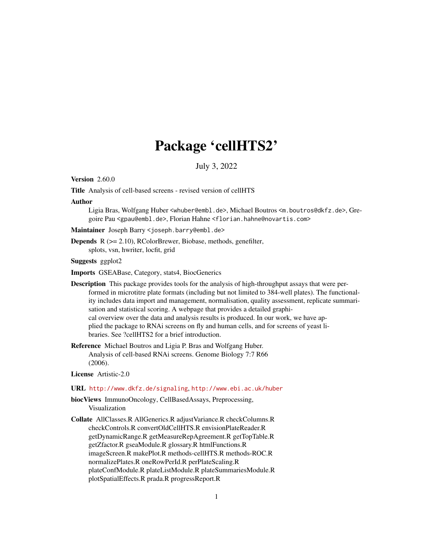# Package 'cellHTS2'

July 3, 2022

# <span id="page-0-0"></span>**Version 2.60.0**

Title Analysis of cell-based screens - revised version of cellHTS

#### Author

Ligia Bras, Wolfgang Huber <whuber@embl.de>, Michael Boutros <m.boutros@dkfz.de>, Gregoire Pau <gpau@embl.de>, Florian Hahne <florian.hahne@novartis.com>

# Maintainer Joseph Barry <joseph.barry@embl.de>

Depends R (>= 2.10), RColorBrewer, Biobase, methods, genefilter, splots, vsn, hwriter, locfit, grid

#### Suggests ggplot2

Imports GSEABase, Category, stats4, BiocGenerics

Description This package provides tools for the analysis of high-throughput assays that were performed in microtitre plate formats (including but not limited to 384-well plates). The functionality includes data import and management, normalisation, quality assessment, replicate summarisation and statistical scoring. A webpage that provides a detailed graphical overview over the data and analysis results is produced. In our work, we have applied the package to RNAi screens on fly and human cells, and for screens of yeast libraries. See ?cellHTS2 for a brief introduction.

Reference Michael Boutros and Ligia P. Bras and Wolfgang Huber. Analysis of cell-based RNAi screens. Genome Biology 7:7 R66 (2006).

# License Artistic-2.0

#### URL <http://www.dkfz.de/signaling>, <http://www.ebi.ac.uk/huber>

- biocViews ImmunoOncology, CellBasedAssays, Preprocessing, Visualization
- Collate AllClasses.R AllGenerics.R adjustVariance.R checkColumns.R checkControls.R convertOldCellHTS.R envisionPlateReader.R getDynamicRange.R getMeasureRepAgreement.R getTopTable.R getZfactor.R gseaModule.R glossary.R htmlFunctions.R imageScreen.R makePlot.R methods-cellHTS.R methods-ROC.R normalizePlates.R oneRowPerId.R perPlateScaling.R plateConfModule.R plateListModule.R plateSummariesModule.R plotSpatialEffects.R prada.R progressReport.R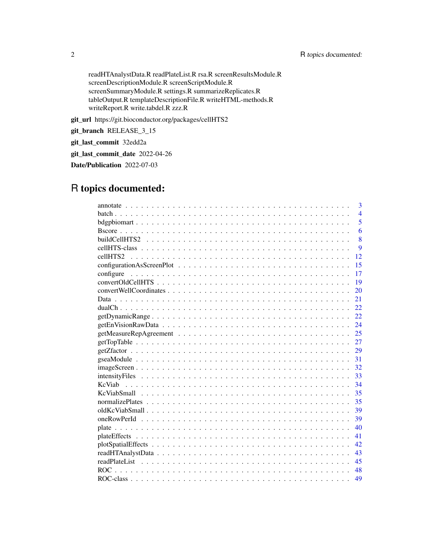readHTAnalystData.R readPlateList.R rsa.R screenResultsModule.R screenDescriptionModule.R screenScriptModule.R screenSummaryModule.R settings.R summarizeReplicates.R tableOutput.R templateDescriptionFile.R writeHTML-methods.R writeReport.R write.tabdel.R zzz.R

git\_url https://git.bioconductor.org/packages/cellHTS2

git\_branch RELEASE\_3\_15

git\_last\_commit 32edd2a

git\_last\_commit\_date 2022-04-26

Date/Publication 2022-07-03

# R topics documented:

| 3               |
|-----------------|
| $\overline{4}$  |
| 5               |
| 6               |
| 8               |
| 9               |
| 12              |
| 15              |
| configure<br>17 |
| 19              |
| 20              |
| 21              |
| 22              |
| 22.             |
| 24              |
| 25              |
| 27              |
| 29              |
| 31              |
| 32              |
| 33              |
| 34              |
| 35              |
| 35              |
| 39              |
| 39              |
| 40              |
| 41              |
| 42              |
| 43              |
| 45              |
| 48              |
| 49              |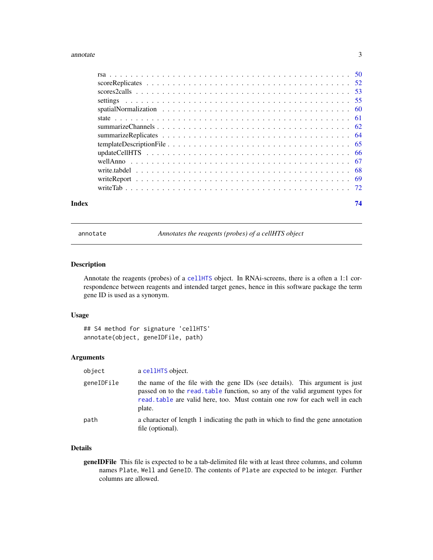#### <span id="page-2-0"></span>annotate 3

| Index | 74 |
|-------|----|

<span id="page-2-1"></span>annotate *Annotates the reagents (probes) of a cellHTS object*

# Description

Annotate the reagents (probes) of a [cellHTS](#page-8-1) object. In RNAi-screens, there is a often a 1:1 correspondence between reagents and intended target genes, hence in this software package the term gene ID is used as a synonym.

# Usage

```
## S4 method for signature 'cellHTS'
annotate(object, geneIDFile, path)
```
# Arguments

| object     | a cellHTS object.                                                                                                                                                                                                                                     |
|------------|-------------------------------------------------------------------------------------------------------------------------------------------------------------------------------------------------------------------------------------------------------|
| geneIDFile | the name of the file with the gene IDs (see details). This argument is just<br>passed on to the read, table function, so any of the valid argument types for<br>read, table are valid here, too. Must contain one row for each well in each<br>plate. |
| path       | a character of length 1 indicating the path in which to find the gene annotation<br>file (optional).                                                                                                                                                  |

# Details

geneIDFile This file is expected to be a tab-delimited file with at least three columns, and column names Plate, Well and GeneID. The contents of Plate are expected to be integer. Further columns are allowed.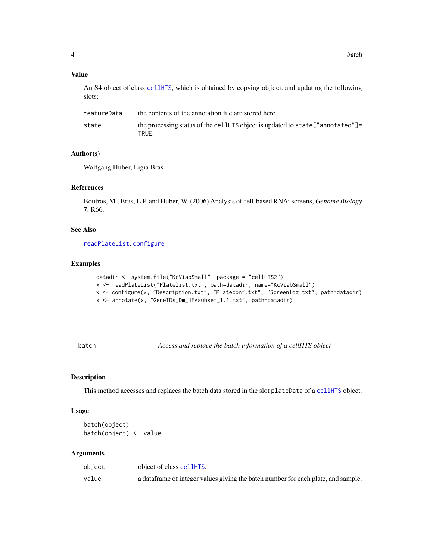# <span id="page-3-0"></span>Value

An S4 object of class [cellHTS](#page-8-1), which is obtained by copying object and updating the following slots:

| featureData | the contents of the annotation file are stored here.                                      |
|-------------|-------------------------------------------------------------------------------------------|
| state       | the processing status of the cellently object is updated to state ["annotated"]=<br>TRUE. |

# Author(s)

Wolfgang Huber, Ligia Bras

# References

Boutros, M., Bras, L.P. and Huber, W. (2006) Analysis of cell-based RNAi screens, *Genome Biology* 7, R66.

# See Also

[readPlateList](#page-44-1), [configure](#page-16-1)

# Examples

```
datadir <- system.file("KcViabSmall", package = "cellHTS2")
x <- readPlateList("Platelist.txt", path=datadir, name="KcViabSmall")
x <- configure(x, "Description.txt", "Plateconf.txt", "Screenlog.txt", path=datadir)
x <- annotate(x, "GeneIDs_Dm_HFAsubset_1.1.txt", path=datadir)
```
<span id="page-3-1"></span>batch *Access and replace the batch information of a cellHTS object*

# <span id="page-3-2"></span>Description

This method accesses and replaces the batch data stored in the slot plateData of a [cellHTS](#page-8-1) object.

# Usage

```
batch(object)
batch(object) <- value
```
#### Arguments

| object | object of class cellHTS.                                                           |
|--------|------------------------------------------------------------------------------------|
| value  | a data frame of integer values giving the batch number for each plate, and sample. |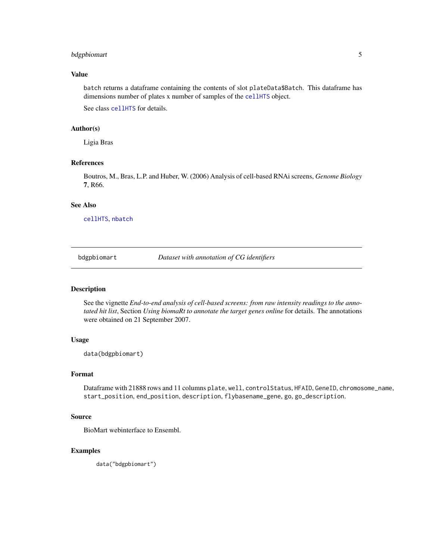# <span id="page-4-0"></span>bdgpbiomart 5

# Value

batch returns a dataframe containing the contents of slot plateData\$Batch. This dataframe has dimensions number of plates x number of samples of the [cellHTS](#page-8-1) object.

See class [cellHTS](#page-8-1) for details.

#### Author(s)

Ligia Bras

# References

Boutros, M., Bras, L.P. and Huber, W. (2006) Analysis of cell-based RNAi screens, *Genome Biology* 7, R66.

#### See Also

[cellHTS](#page-8-1), [nbatch](#page-8-2)

<span id="page-4-1"></span>bdgpbiomart *Dataset with annotation of CG identifiers*

# Description

See the vignette *End-to-end analysis of cell-based screens: from raw intensity readings to the annotated hit list*, Section *Using biomaRt to annotate the target genes online* for details. The annotations were obtained on 21 September 2007.

#### Usage

data(bdgpbiomart)

#### Format

Dataframe with 21888 rows and 11 columns plate, well, controlStatus, HFAID, GeneID, chromosome\_name, start\_position, end\_position, description, flybasename\_gene, go, go\_description.

# Source

BioMart webinterface to Ensembl.

# Examples

data("bdgpbiomart")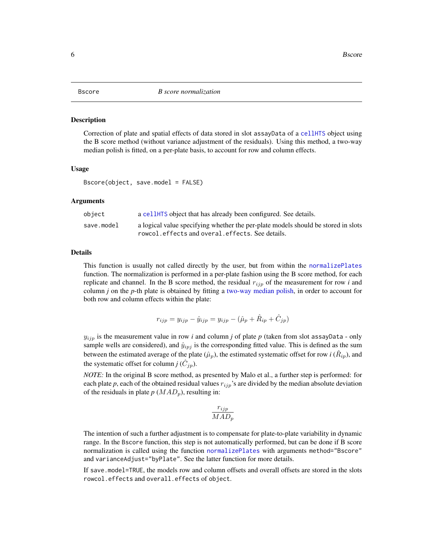<span id="page-5-1"></span><span id="page-5-0"></span>Correction of plate and spatial effects of data stored in slot assayData of a [cellHTS](#page-8-1) object using the B score method (without variance adjustment of the residuals). Using this method, a two-way median polish is fitted, on a per-plate basis, to account for row and column effects.

#### Usage

```
Bscore(object, save.model = FALSE)
```
#### Arguments

| object     | a cellet a cellet that has already been configured. See details.                  |
|------------|-----------------------------------------------------------------------------------|
| save.model | a logical value specifying whether the per-plate models should be stored in slots |
|            | rowcol.effects and overal.effects. See details.                                   |

# Details

This function is usually not called directly by the user, but from within the [normalizePlates](#page-34-1) function. The normalization is performed in a per-plate fashion using the B score method, for each replicate and channel. In the B score method, the residual  $r_{ijp}$  of the measurement for row *i* and column *j* on the *p*-th plate is obtained by fitting a [two-way median polish,](#page-0-0) in order to account for both row and column effects within the plate:

$$
r_{ijp} = y_{ijp} - \hat{y}_{ijp} = y_{ijp} - (\hat{\mu}_p + \hat{R}_{ip} + \hat{C}_{jp})
$$

 $y_{ijp}$  is the measurement value in row *i* and column *j* of plate *p* (taken from slot assayData - only sample wells are considered), and  $\hat{y}_{ipj}$  is the corresponding fitted value. This is defined as the sum between the estimated average of the plate  $(\hat{\mu}_p)$ , the estimated systematic offset for row *i* ( $\hat{R}_{ip}$ ), and the systematic offset for column *j*  $(\hat{C}_{jp})$ .

*NOTE:* In the original B score method, as presented by Malo et al., a further step is performed: for each plate  $p$ , each of the obtained residual values  $r_{ijp}$ 's are divided by the median absolute deviation of the residuals in plate  $p$  ( $MAD_p$ ), resulting in:

$$
\frac{r_{ijp}}{MAD_p}
$$

The intention of such a further adjustment is to compensate for plate-to-plate variability in dynamic range. In the Bscore function, this step is not automatically performed, but can be done if B score normalization is called using the function [normalizePlates](#page-34-1) with arguments method="Bscore" and varianceAdjust="byPlate". See the latter function for more details.

If save.model=TRUE, the models row and column offsets and overall offsets are stored in the slots rowcol.effects and overall.effects of object.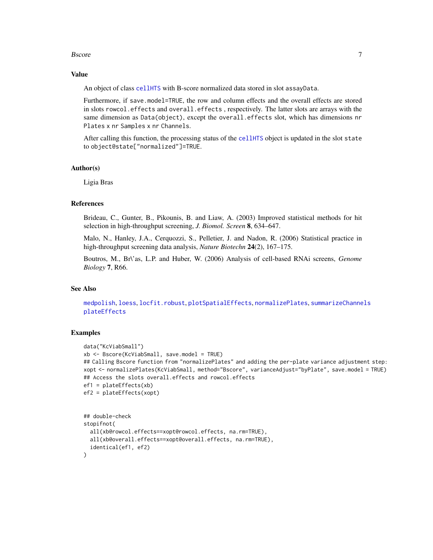#### Bscore **Figure 2** and 2 and 2 and 2 and 2 and 2 and 2 and 2 and 2 and 2 and 2 and 2 and 2 and 2 and 2 and 2 and 2 and 2 and 2 and 2 and 2 and 2 and 2 and 2 and 2 and 2 and 2 and 2 and 2 and 2 and 2 and 2 and 2 and 2 and 2

#### Value

An object of class [cellHTS](#page-8-1) with B-score normalized data stored in slot assayData.

Furthermore, if save.model=TRUE, the row and column effects and the overall effects are stored in slots rowcol.effects and overall.effects , respectively. The latter slots are arrays with the same dimension as Data(object), except the overall.effects slot, which has dimensions nr Plates x nr Samples x nr Channels.

After calling this function, the processing status of the [cellHTS](#page-8-1) object is updated in the slot state to object@state["normalized"]=TRUE.

#### Author(s)

Ligia Bras

# References

Brideau, C., Gunter, B., Pikounis, B. and Liaw, A. (2003) Improved statistical methods for hit selection in high-throughput screening, *J. Biomol. Screen* 8, 634–647.

Malo, N., Hanley, J.A., Cerquozzi, S., Pelletier, J. and Nadon, R. (2006) Statistical practice in high-throughput screening data analysis, *Nature Biotechn* 24(2), 167–175.

Boutros, M., Br\'as, L.P. and Huber, W. (2006) Analysis of cell-based RNAi screens, *Genome Biology* 7, R66.

#### See Also

[medpolish](#page-0-0), [loess](#page-0-0), [locfit.robust](#page-0-0), [plotSpatialEffects](#page-41-1), [normalizePlates](#page-34-1), [summarizeChannels](#page-61-1) [plateEffects](#page-40-1)

```
data("KcViabSmall")
xb <- Bscore(KcViabSmall, save.model = TRUE)
## Calling Bscore function from "normalizePlates" and adding the per-plate variance adjustment step:
xopt <- normalizePlates(KcViabSmall, method="Bscore", varianceAdjust="byPlate", save.model = TRUE)
## Access the slots overall.effects and rowcol.effects
ef1 = plateEffects(xb)
ef2 = plateEffects(xopt)
## double-check
stopifnot(
```

```
all(xb@rowcol.effects==xopt@rowcol.effects, na.rm=TRUE),
 all(xb@overall.effects==xopt@overall.effects, na.rm=TRUE),
 identical(ef1, ef2)
)
```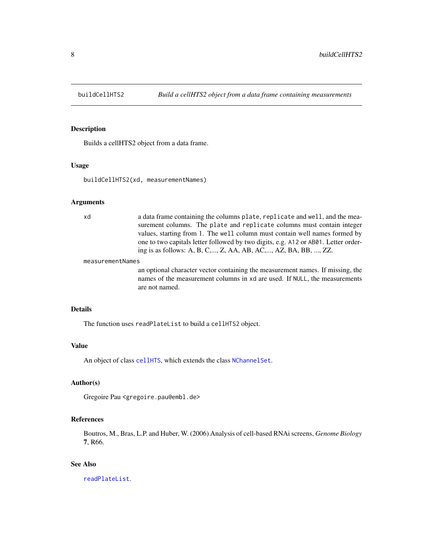<span id="page-7-0"></span>

Builds a cellHTS2 object from a data frame.

#### Usage

buildCellHTS2(xd, measurementNames)

# Arguments

| bx | a data frame containing the columns plate, replicate and well, and the mea-        |
|----|------------------------------------------------------------------------------------|
|    | surement columns. The plate and replicate columns must contain integer             |
|    | values, starting from 1. The well column must contain well names formed by         |
|    | one to two capitals letter followed by two digits, e.g. A12 or AB01. Letter order- |
|    | ing is as follows: A, B, C,, Z, AA, AB, AC,, AZ, BA, BB, , ZZ.                     |
|    |                                                                                    |

#### measurementNames

an optional character vector containing the measurement names. If missing, the names of the measurement columns in xd are used. If NULL, the measurements are not named.

#### Details

The function uses readPlateList to build a cellHTS2 object.

# Value

An object of class [cellHTS](#page-8-1), which extends the class [NChannelSet](#page-0-0).

# Author(s)

Gregoire Pau <gregoire.pau@embl.de>

# References

Boutros, M., Bras, L.P. and Huber, W. (2006) Analysis of cell-based RNAi screens, *Genome Biology* 7, R66.

# See Also

[readPlateList](#page-44-1).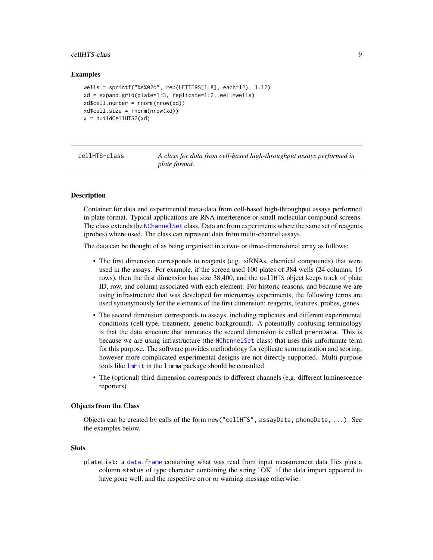# <span id="page-8-0"></span>cellHTS-class 9

#### Examples

```
wells = sprintf("%s%02d", rep(LETTERS[1:8], each=12), 1:12)
xd = expand.grid(plate=1:3, replicate=1:2, well=wells)
xd$cell_number = rnorm(nrow(xd))xd$cell.size = rnorm(nrow(xd))x = buildCellHTS2(xd)
```
<span id="page-8-1"></span>cellHTS-class *A class for data from cell-based high-throughput assays performed in plate format.*

#### <span id="page-8-2"></span>**Description**

Container for data and experimental meta-data from cell-based high-throughput assays performed in plate format. Typical applications are RNA interference or small molecular compound screens. The class extends the [NChannelSet](#page-0-0) class. Data are from experiments where the same set of reagents (probes) where used. The class can represent data from multi-channel assays.

The data can be thought of as being organised in a two- or three-dimensional array as follows:

- The first dimension corresponds to reagents (e.g. siRNAs, chemical compounds) that were used in the assays. For example, if the screen used 100 plates of 384 wells (24 columns, 16 rows), then the first dimension has size 38,400, and the cellHTS object keeps track of plate ID, row, and column associated with each element. For historic reasons, and because we are using infrastructure that was developed for microarray experiments, the following terms are used synonymously for the elements of the first dimension: reagents, features, probes, genes.
- The second dimension corresponds to assays, including replicates and different experimental conditions (cell type, treatment, genetic background). A potentially confusing terminology is that the data structure that annotates the second dimension is called phenoData. This is because we are using infrastructure (the [NChannelSet](#page-0-0) class) that uses this unfortunate term for this purpose. The software provides methodology for replicate summarization and scoring, however more complicated experimental designs are not directly supported. Multi-purpose tools like [lmFit](#page-0-0) in the limma package should be consulted.
- The (optional) third dimension corresponds to different channels (e.g. different luminescence reporters)

#### Objects from the Class

Objects can be created by calls of the form new("cellHTS", assayData, phenoData, ...). See the examples below.

#### **Slots**

plateList: a [data.frame](#page-0-0) containing what was read from input measurement data files plus a column status of type character containing the string "OK" if the data import appeared to have gone well, and the respective error or warning message otherwise.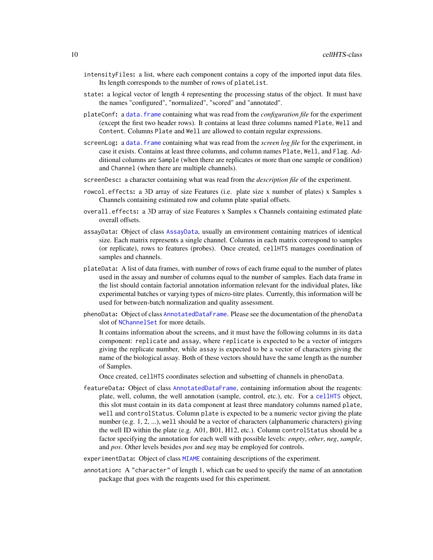- intensityFiles: a list, where each component contains a copy of the imported input data files. Its length corresponds to the number of rows of plateList.
- state: a logical vector of length 4 representing the processing status of the object. It must have the names "configured", "normalized", "scored" and "annotated".
- plateConf: a [data.frame](#page-0-0) containing what was read from the *configuration file* for the experiment (except the first two header rows). It contains at least three columns named Plate, Well and Content. Columns Plate and Well are allowed to contain regular expressions.
- screenLog: a data. frame containing what was read from the *screen log file* for the experiment, in case it exists. Contains at least three columns, and column names Plate, Well, and Flag. Additional columns are Sample (when there are replicates or more than one sample or condition) and Channel (when there are multiple channels).
- screenDesc: a character containing what was read from the *description file* of the experiment.
- rowcol.effects: a 3D array of size Features (i.e. plate size x number of plates) x Samples x Channels containing estimated row and column plate spatial offsets.
- overall.effects: a 3D array of size Features x Samples x Channels containing estimated plate overall offsets.
- assayData: Object of class [AssayData](#page-0-0), usually an environment containing matrices of identical size. Each matrix represents a single channel. Columns in each matrix correspond to samples (or replicate), rows to features (probes). Once created, cellHTS manages coordination of samples and channels.
- plateData: A list of data frames, with number of rows of each frame equal to the number of plates used in the assay and number of columns equal to the number of samples. Each data frame in the list should contain factorial annotation information relevant for the individual plates, like experimental batches or varying types of micro-titre plates. Currently, this information will be used for between-batch normalization and quality assessment.
- phenoData: Object of class [AnnotatedDataFrame](#page-0-0). Please see the documentation of the phenoData slot of [NChannelSet](#page-0-0) for more details.

It contains information about the screens, and it must have the following columns in its data component: replicate and assay, where replicate is expected to be a vector of integers giving the replicate number, while assay is expected to be a vector of characters giving the name of the biological assay. Both of these vectors should have the same length as the number of Samples.

Once created, cellHTS coordinates selection and subsetting of channels in phenoData.

- featureData: Object of class [AnnotatedDataFrame](#page-0-0), containing information about the reagents: plate, well, column, the well annotation (sample, control, etc.), etc. For a [cellHTS](#page-8-1) object, this slot must contain in its data component at least three mandatory columns named plate, well and controlStatus. Column plate is expected to be a numeric vector giving the plate number (e.g. 1, 2, ...), well should be a vector of characters (alphanumeric characters) giving the well ID within the plate (e.g. A01, B01, H12, etc.). Column controlStatus should be a factor specifying the annotation for each well with possible levels: *empty*, *other*, *neg*, *sample*, and *pos*. Other levels besides *pos* and *neg* may be employed for controls.
- experimentData: Object of class [MIAME](#page-0-0) containing descriptions of the experiment.
- annotation: A "character" of length 1, which can be used to specify the name of an annotation package that goes with the reagents used for this experiment.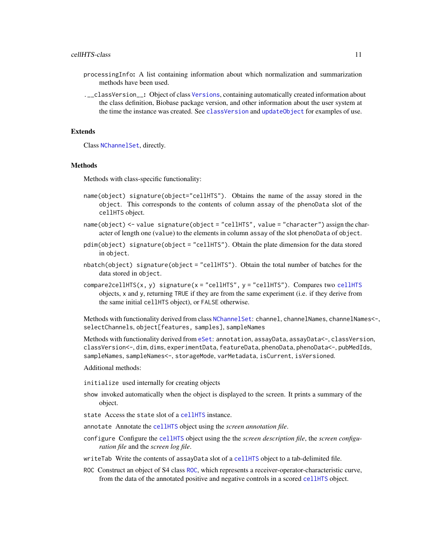- processingInfo: A list containing information about which normalization and summarization methods have been used.
- .\_\_classVersion\_\_: Object of class [Versions](#page-0-0), containing automatically created information about the class definition, Biobase package version, and other information about the user system at the time the instance was created. See [classVersion](#page-0-0) and [updateObject](#page-0-0) for examples of use.

#### Extends

Class [NChannelSet](#page-0-0), directly.

#### **Methods**

Methods with class-specific functionality:

- name(object) signature(object="cellHTS"). Obtains the name of the assay stored in the object. This corresponds to the contents of column assay of the phenoData slot of the cellHTS object.
- name(object) <- value signature(object = "cellHTS", value = "character") assign the character of length one (value) to the elements in column assay of the slot phenoData of object.
- pdim(object) signature(object = "cellHTS"). Obtain the plate dimension for the data stored in object.
- nbatch(object) signature(object = "cellHTS"). Obtain the total number of batches for the data stored in object.
- compare2[cellHTS](#page-8-1)(x, y) signature(x = "cellHTS", y = "cellHTS"). Compares two cellHTS objects, x and y, returning TRUE if they are from the same experiment (i.e. if they derive from the same initial cellHTS object), or FALSE otherwise.

Methods with functionality derived from class [NChannelSet](#page-0-0): channel, channelNames, channelNames<-, selectChannels, object[features, samples], sampleNames

Methods with functionality derived from [eSet](#page-0-0): annotation, assayData, assayData<-, classVersion, classVersion<-, dim, dims, experimentData, featureData, phenoData, phenoData<-, pubMedIds, sampleNames, sampleNames<-, storageMode, varMetadata, isCurrent, isVersioned.

Additional methods:

initialize used internally for creating objects

- show invoked automatically when the object is displayed to the screen. It prints a summary of the object.
- state Access the state slot of a [cellHTS](#page-8-1) instance.

annotate Annotate the [cellHTS](#page-8-1) object using the *screen annotation file*.

- configure Configure the [cellHTS](#page-8-1) object using the the *screen description file*, the *screen configuration file* and the *screen log file*.
- writeTab Write the contents of assayData slot of a [cellHTS](#page-8-1) object to a tab-delimited file.
- ROC Construct an object of S4 class [ROC](#page-48-1), which represents a receiver-operator-characteristic curve, from the data of the annotated positive and negative controls in a scored [cellHTS](#page-8-1) object.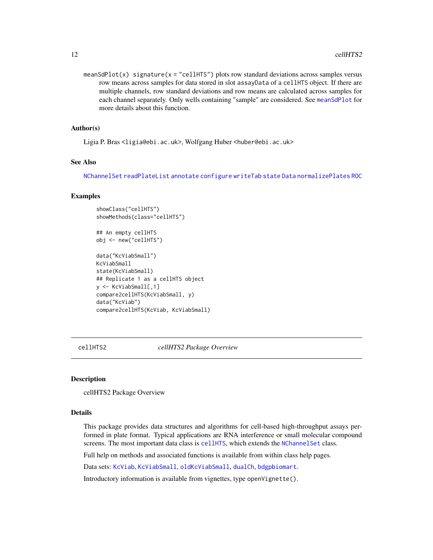<span id="page-11-0"></span>meanSdPlot(x) signature(x = "cellHTS") plots row standard deviations across samples versus row means across samples for data stored in slot assayData of a cellHTS object. If there are multiple channels, row standard deviations and row means are calculated across samples for each channel separately. Only wells containing "sample" are considered. See [meanSdPlot](#page-8-2) for more details about this function.

#### Author(s)

Ligia P. Bras <ligia@ebi.ac.uk>, Wolfgang Huber <huber@ebi.ac.uk>

# See Also

[NChannelSet](#page-0-0) [readPlateList](#page-44-1) [annotate](#page-2-1) [configure](#page-16-1) [writeTab](#page-71-1) [state](#page-60-1) [Data](#page-20-1) [normalizePlates](#page-34-1) [ROC](#page-47-1)

#### Examples

showClass("cellHTS") showMethods(class="cellHTS")

```
## An empty cellHTS
obj <- new("cellHTS")
```

```
data("KcViabSmall")
KcViabSmall
state(KcViabSmall)
## Replicate 1 as a cellHTS object
y <- KcViabSmall[,1]
compare2cellHTS(KcViabSmall, y)
data("KcViab")
compare2cellHTS(KcViab, KcViabSmall)
```
cellHTS2 *cellHTS2 Package Overview*

#### Description

cellHTS2 Package Overview

#### Details

This package provides data structures and algorithms for cell-based high-throughput assays performed in plate format. Typical applications are RNA interference or small molecular compound screens. The most important data class is [cellHTS](#page-8-1), which extends the [NChannelSet](#page-0-0) class.

Full help on methods and associated functions is available from within class help pages.

Data sets: [KcViab](#page-33-1), [KcViabSmall](#page-34-2), [oldKcViabSmall](#page-38-1), [dualCh](#page-21-1), [bdgpbiomart](#page-4-1).

Introductory information is available from vignettes, type openVignette().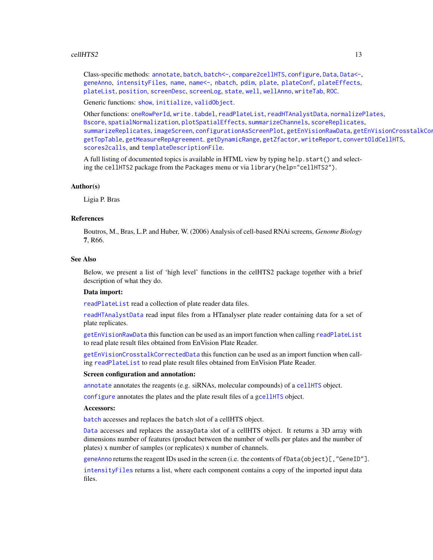#### $cellHTS2$  and  $13$

Class-specific methods: [annotate](#page-2-1), [batch](#page-3-1), [batch<-](#page-3-2), [compare2cellHTS](#page-8-2), [configure](#page-16-1), [Data](#page-20-1), [Data<-](#page-20-2), [geneAnno](#page-66-1), [intensityFiles](#page-32-1), [name](#page-8-2), [name<-](#page-8-2), [nbatch](#page-8-2), [pdim](#page-39-1), [plate](#page-39-2), [plateConf](#page-32-2), [plateEffects](#page-40-1), [plateList](#page-32-2), [position](#page-39-1), [screenDesc](#page-32-2), [screenLog](#page-32-2), [state](#page-60-1), [well](#page-39-1), [wellAnno](#page-66-2), [writeTab](#page-71-1), [ROC](#page-47-1).

Generic functions: [show](#page-0-0), [initialize](#page-0-0), [validObject](#page-0-0).

Other functions: [oneRowPerId](#page-38-2), [write.tabdel](#page-67-1), [readPlateList](#page-44-1), [readHTAnalystData](#page-42-1), [normalizePlates](#page-34-1), [Bscore](#page-5-1), [spatialNormalization](#page-59-1), [plotSpatialEffects](#page-41-1), [summarizeChannels](#page-61-1), [scoreReplicates](#page-51-1), [summarizeReplicates](#page-63-1), [imageScreen](#page-31-1), [configurationAsScreenPlot](#page-14-1), [getEnVisionRawData](#page-23-1), getEnVisionCrosstalkCor [getTopTable](#page-26-1), [getMeasureRepAgreement](#page-24-1). [getDynamicRange](#page-21-2), [getZfactor](#page-28-1), [writeReport](#page-68-1), [convertOldCellHTS](#page-18-1), [scores2calls](#page-52-1), and [templateDescriptionFile](#page-64-1).

A full listing of documented topics is available in HTML view by typing help.start() and selecting the cellHTS2 package from the Packages menu or via library(help="cellHTS2").

#### Author(s)

Ligia P. Bras

#### References

Boutros, M., Bras, L.P. and Huber, W. (2006) Analysis of cell-based RNAi screens, *Genome Biology* 7, R66.

#### See Also

Below, we present a list of 'high level' functions in the celHTS2 package together with a brief description of what they do.

#### Data import:

[readPlateList](#page-44-1) read a collection of plate reader data files.

[readHTAnalystData](#page-42-1) read input files from a HTanalyser plate reader containing data for a set of plate replicates.

[getEnVisionRawData](#page-23-1) this function can be used as an import function when calling [readPlateList](#page-44-1) to read plate result files obtained from EnVision Plate Reader.

[getEnVisionCrosstalkCorrectedData](#page-23-2) this function can be used as an import function when calling [readPlateList](#page-44-1) to read plate result files obtained from EnVision Plate Reader.

# Screen configuration and annotation:

[annotate](#page-2-1) annotates the reagents (e.g. siRNAs, molecular compounds) of a [cellHTS](#page-8-1) object.

[configure](#page-16-1) annotates the plates and the plate result files of a g[cellHTS](#page-8-1) object.

#### Accessors:

[batch](#page-3-1) accesses and replaces the batch slot of a cellHTS object.

[Data](#page-20-1) accesses and replaces the assayData slot of a cellHTS object. It returns a 3D array with dimensions number of features (product between the number of wells per plates and the number of plates) x number of samples (or replicates) x number of channels.

[geneAnno](#page-66-1) returns the reagent IDs used in the screen (i.e. the contents of fData(object)[,"GeneID"].

[intensityFiles](#page-32-1) returns a list, where each component contains a copy of the imported input data files.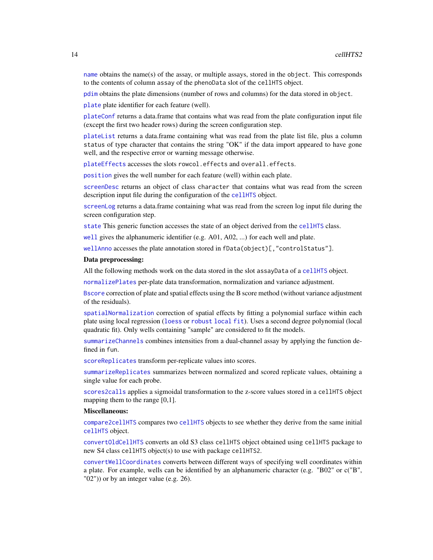[name](#page-8-2) obtains the name(s) of the assay, or multiple assays, stored in the object. This corresponds to the contents of column assay of the phenoData slot of the cellHTS object.

[pdim](#page-39-1) obtains the plate dimensions (number of rows and columns) for the data stored in object.

[plate](#page-39-2) plate identifier for each feature (well).

[plateConf](#page-32-2) returns a data.frame that contains what was read from the plate configuration input file (except the first two header rows) during the screen configuration step.

[plateList](#page-32-2) returns a data.frame containing what was read from the plate list file, plus a column status of type character that contains the string "OK" if the data import appeared to have gone well, and the respective error or warning message otherwise.

[plateEffects](#page-40-1) accesses the slots rowcol.effects and overall.effects.

[position](#page-39-1) gives the well number for each feature (well) within each plate.

[screenDesc](#page-32-2) returns an object of class character that contains what was read from the screen description input file during the configuration of the [cellHTS](#page-8-1) object.

[screenLog](#page-32-2) returns a data.frame containing what was read from the screen log input file during the screen configuration step.

[state](#page-60-1) This generic function accesses the state of an object derived from the [cellHTS](#page-8-1) class.

[well](#page-39-1) gives the alphanumeric identifier (e.g. A01, A02, ...) for each well and plate.

[wellAnno](#page-66-2) accesses the plate annotation stored in fData(object)[,"controlStatus"].

# Data preprocessing:

All the following methods work on the data stored in the slot assayData of a [cellHTS](#page-8-1) object.

[normalizePlates](#page-34-1) per-plate data transformation, normalization and variance adjustment.

[Bscore](#page-5-1) correction of plate and spatial effects using the B score method (without variance adjustment of the residuals).

[spatialNormalization](#page-59-1) correction of spatial effects by fitting a polynomial surface within each plate using local regression ([loess](#page-0-0) or [robust local fit](#page-0-0)). Uses a second degree polynomial (local quadratic fit). Only wells containing "sample" are considered to fit the models.

[summarizeChannels](#page-61-1) combines intensities from a dual-channel assay by applying the function defined in fun.

[scoreReplicates](#page-51-1) transform per-replicate values into scores.

[summarizeReplicates](#page-63-1) summarizes between normalized and scored replicate values, obtaining a single value for each probe.

[scores2calls](#page-52-1) applies a sigmoidal transformation to the z-score values stored in a cellHTS object mapping them to the range [0,1].

#### Miscellaneous:

[compare2cellHTS](#page-8-2) compares two [cellHTS](#page-8-1) objects to see whether they derive from the same initial [cellHTS](#page-8-1) object.

[convertOldCellHTS](#page-18-1) converts an old S3 class cellHTS object obtained using cellHTS package to new S4 class cellHTS object(s) to use with package cellHTS2.

[convertWellCoordinates](#page-19-1) converts between different ways of specifying well coordinates within a plate. For example, wells can be identified by an alphanumeric character (e.g. "B02" or c("B", "02")) or by an integer value (e.g. 26).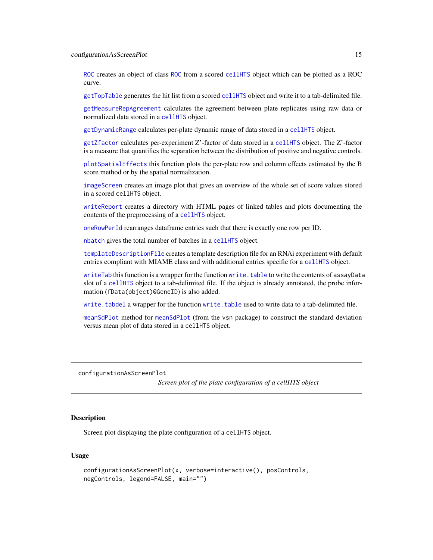<span id="page-14-0"></span>[ROC](#page-47-1) creates an object of class [ROC](#page-48-1) from a scored [cellHTS](#page-8-1) object which can be plotted as a ROC curve.

[getTopTable](#page-26-1) generates the hit list from a scored [cellHTS](#page-8-1) object and write it to a tab-delimited file.

[getMeasureRepAgreement](#page-24-1) calculates the agreement between plate replicates using raw data or normalized data stored in a [cellHTS](#page-8-1) object.

[getDynamicRange](#page-21-2) calculates per-plate dynamic range of data stored in a [cellHTS](#page-8-1) object.

[getZfactor](#page-28-1) calculates per-experiment Z'-factor of data stored in a [cellHTS](#page-8-1) object. The Z'-factor is a measure that quantifies the separation between the distribution of positive and negative controls.

[plotSpatialEffects](#page-41-1) this function plots the per-plate row and column effects estimated by the B score method or by the spatial normalization.

[imageScreen](#page-31-1) creates an image plot that gives an overview of the whole set of score values stored in a scored cellHTS object.

[writeReport](#page-68-1) creates a directory with HTML pages of linked tables and plots documenting the contents of the preprocessing of a [cellHTS](#page-8-1) object.

[oneRowPerId](#page-38-2) rearranges dataframe entries such that there is exactly one row per ID.

[nbatch](#page-8-2) gives the total number of batches in a [cellHTS](#page-8-1) object.

[templateDescriptionFile](#page-64-1) creates a template description file for an RNAi experiment with default entries compliant with MIAME class and with additional entries specific for a [cellHTS](#page-8-1) object.

[writeTab](#page-71-1) this function is a wrapper for the function [write.table](#page-0-0) to write the contents of assayData slot of a [cellHTS](#page-8-1) object to a tab-delimited file. If the object is already annotated, the probe information (fData(object)@GeneID) is also added.

[write.tabdel](#page-67-1) a wrapper for the function [write.table](#page-0-0) used to write data to a tab-delimited file.

[meanSdPlot](#page-8-2) method for [meanSdPlot](#page-8-2) (from the vsn package) to construct the standard deviation versus mean plot of data stored in a cellHTS object.

<span id="page-14-1"></span>configurationAsScreenPlot

*Screen plot of the plate configuration of a cellHTS object*

# **Description**

Screen plot displaying the plate configuration of a cellHTS object.

# Usage

```
configurationAsScreenPlot(x, verbose=interactive(), posControls,
negControls, legend=FALSE, main="")
```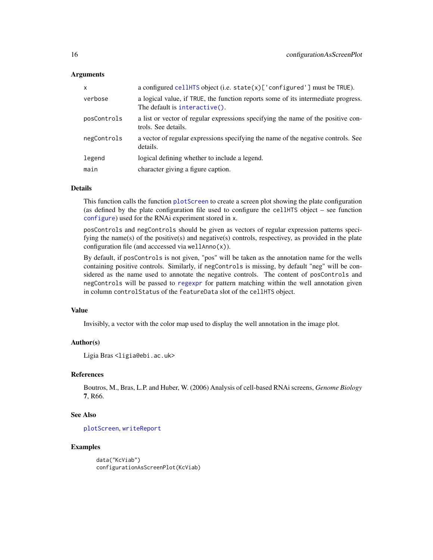# Arguments

| x           | a configured cellHTS object (i.e. state(x)['configured'] must be TRUE).                                            |
|-------------|--------------------------------------------------------------------------------------------------------------------|
| verbose     | a logical value, if TRUE, the function reports some of its intermediate progress.<br>The default is interactive(). |
| posControls | a list or vector of regular expressions specifying the name of the positive con-<br>trols. See details.            |
| negControls | a vector of regular expressions specifying the name of the negative controls. See<br>details.                      |
| legend      | logical defining whether to include a legend.                                                                      |
| main        | character giving a figure caption.                                                                                 |

#### Details

This function calls the function [plotScreen](#page-0-0) to create a screen plot showing the plate configuration (as defined by the plate configuration file used to configure the cellHTS object – see function [configure](#page-16-1)) used for the RNAi experiment stored in x.

posControls and negControls should be given as vectors of regular expression patterns specifying the name(s) of the positive(s) and negative(s) controls, respectivey, as provided in the plate configuration file (and acccessed via wellAnno $(x)$ ).

By default, if posControls is not given, "pos" will be taken as the annotation name for the wells containing positive controls. Similarly, if negControls is missing, by default "neg" will be considered as the name used to annotate the negative controls. The content of posControls and negControls will be passed to [regexpr](#page-0-0) for pattern matching within the well annotation given in column controlStatus of the featureData slot of the cellHTS object.

# Value

Invisibly, a vector with the color map used to display the well annotation in the image plot.

#### Author(s)

Ligia Bras <ligia@ebi.ac.uk>

# References

Boutros, M., Bras, L.P. and Huber, W. (2006) Analysis of cell-based RNAi screens, *Genome Biology* 7, R66.

# See Also

[plotScreen](#page-0-0), [writeReport](#page-68-1)

# Examples

data("KcViab") configurationAsScreenPlot(KcViab)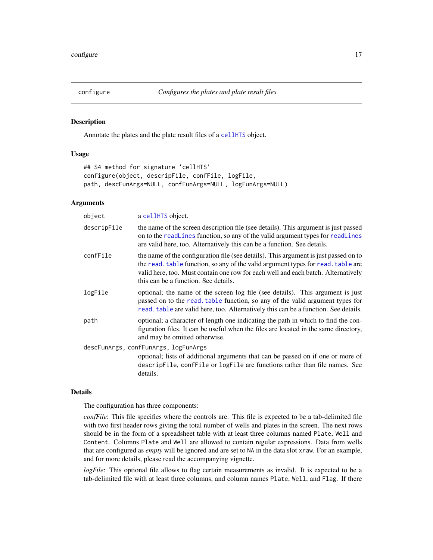<span id="page-16-1"></span><span id="page-16-0"></span>

Annotate the plates and the plate result files of a [cellHTS](#page-8-1) object.

# Usage

```
## S4 method for signature 'cellHTS'
configure(object, descripFile, confFile, logFile,
path, descFunArgs=NULL, confFunArgs=NULL, logFunArgs=NULL)
```
# Arguments

| object      | a cellHTS object.                                                                                                                                                                                                                                                                                     |
|-------------|-------------------------------------------------------------------------------------------------------------------------------------------------------------------------------------------------------------------------------------------------------------------------------------------------------|
| descripFile | the name of the screen description file (see details). This argument is just passed<br>on to the readLines function, so any of the valid argument types for readLines<br>are valid here, too. Alternatively this can be a function. See details.                                                      |
| confFile    | the name of the configuration file (see details). This argument is just passed on to<br>the read, table function, so any of the valid argument types for read, table are<br>valid here, too. Must contain one row for each well and each batch. Alternatively<br>this can be a function. See details. |
| logFile     | optional; the name of the screen log file (see details). This argument is just<br>passed on to the read. table function, so any of the valid argument types for<br>read. table are valid here, too. Alternatively this can be a function. See details.                                                |
| path        | optional; a character of length one indicating the path in which to find the con-<br>figuration files. It can be useful when the files are located in the same directory,<br>and may be omitted otherwise.                                                                                            |
|             | descFunArgs, confFunArgs, logFunArgs                                                                                                                                                                                                                                                                  |
|             | optional; lists of additional arguments that can be passed on if one or more of<br>descripfile, conffile or logfile are functions rather than file names. See<br>details.                                                                                                                             |

# Details

The configuration has three components:

*confFile*: This file specifies where the controls are. This file is expected to be a tab-delimited file with two first header rows giving the total number of wells and plates in the screen. The next rows should be in the form of a spreadsheet table with at least three columns named Plate, Well and Content. Columns Plate and Well are allowed to contain regular expressions. Data from wells that are configured as *empty* will be ignored and are set to NA in the data slot xraw. For an example, and for more details, please read the accompanying vignette.

*logFile*: This optional file allows to flag certain measurements as invalid. It is expected to be a tab-delimited file with at least three columns, and column names Plate, Well, and Flag. If there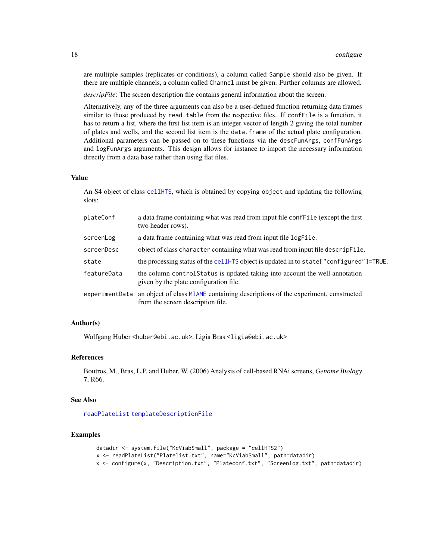are multiple samples (replicates or conditions), a column called Sample should also be given. If there are multiple channels, a column called Channel must be given. Further columns are allowed.

*descripFile*: The screen description file contains general information about the screen.

Alternatively, any of the three arguments can also be a user-defined function returning data frames similar to those produced by read.table from the respective files. If confFile is a function, it has to return a list, where the first list item is an integer vector of length 2 giving the total number of plates and wells, and the second list item is the data.frame of the actual plate configuration. Additional parameters can be passed on to these functions via the descFunArgs, confFunArgs and logFunArgs arguments. This design allows for instance to import the necessary information directly from a data base rather than using flat files.

#### Value

An S4 object of class [cellHTS](#page-8-1), which is obtained by copying object and updating the following slots:

| plateConf      | a data frame containing what was read from input file confFile (except the first<br>two header rows).                  |
|----------------|------------------------------------------------------------------------------------------------------------------------|
| screenLog      | a data frame containing what was read from input file logFile.                                                         |
| screenDesc     | object of class character containing what was read from input file descrip File.                                       |
| state          | the processing status of the cellHTS object is updated in to state ["configured"]=TRUE.                                |
| featureData    | the column control Status is updated taking into account the well annotation<br>given by the plate configuration file. |
| experimentData | an object of class MIAME containing descriptions of the experiment, constructed<br>from the screen description file.   |

# Author(s)

Wolfgang Huber <huber@ebi.ac.uk>, Ligia Bras <ligia@ebi.ac.uk>

# References

Boutros, M., Bras, L.P. and Huber, W. (2006) Analysis of cell-based RNAi screens, *Genome Biology* 7, R66.

# See Also

[readPlateList](#page-44-1) [templateDescriptionFile](#page-64-1)

```
datadir <- system.file("KcViabSmall", package = "cellHTS2")
x <- readPlateList("Platelist.txt", name="KcViabSmall", path=datadir)
x <- configure(x, "Description.txt", "Plateconf.txt", "Screenlog.txt", path=datadir)
```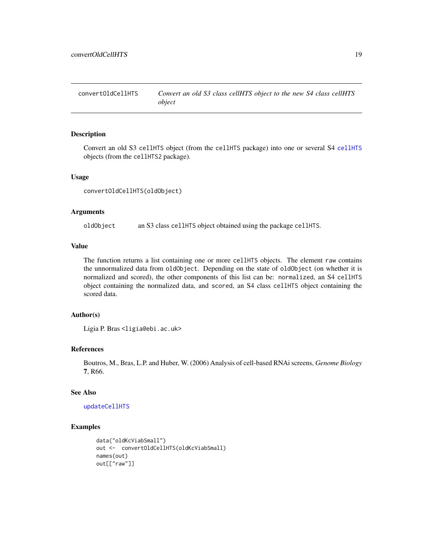<span id="page-18-1"></span><span id="page-18-0"></span>convertOldCellHTS *Convert an old S3 class cellHTS object to the new S4 class cellHTS object*

#### Description

Convert an old S3 cellHTS object (from the cellHTS package) into one or several S4 [cellHTS](#page-8-1) objects (from the cellHTS2 package).

#### Usage

convertOldCellHTS(oldObject)

#### Arguments

oldObject an S3 class cellHTS object obtained using the package cellHTS.

#### Value

The function returns a list containing one or more cellHTS objects. The element raw contains the unnormalized data from oldObject. Depending on the state of oldObject (on whether it is normalized and scored), the other components of this list can be: normalized, an S4 cellHTS object containing the normalized data, and scored, an S4 class cellHTS object containing the scored data.

# Author(s)

Ligia P. Bras <ligia@ebi.ac.uk>

# References

Boutros, M., Bras, L.P. and Huber, W. (2006) Analysis of cell-based RNAi screens, *Genome Biology* 7, R66.

# See Also

#### [updateCellHTS](#page-65-1)

```
data("oldKcViabSmall")
out <- convertOldCellHTS(oldKcViabSmall)
names(out)
out[["raw"]]
```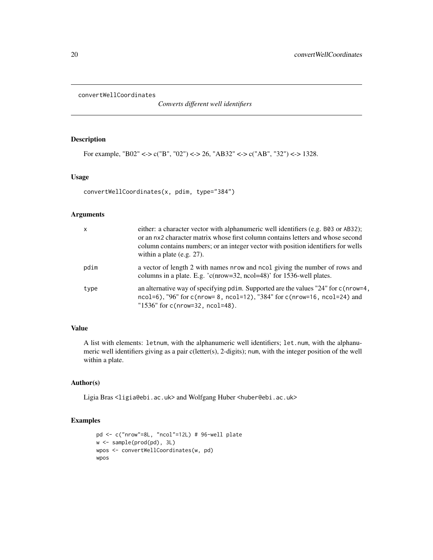<span id="page-19-1"></span><span id="page-19-0"></span>convertWellCoordinates

*Converts different well identifiers*

# Description

For example, "B02" <-> c("B", "02") <-> 26, "AB32" <-> c("AB", "32") <-> 1328.

#### Usage

convertWellCoordinates(x, pdim, type="384")

# Arguments

| $\mathsf{x}$ | either: a character vector with alphanumeric well identifiers (e.g. B03 or AB32);<br>or an nx2 character matrix whose first column contains letters and whose second<br>column contains numbers; or an integer vector with position identifiers for wells<br>within a plate (e.g. $27$ ). |
|--------------|-------------------------------------------------------------------------------------------------------------------------------------------------------------------------------------------------------------------------------------------------------------------------------------------|
| pdim         | a vector of length 2 with names nrow and nool giving the number of rows and<br>columns in a plate. E.g. 'c(nrow=32, ncol=48)' for 1536-well plates.                                                                                                                                       |
| type         | an alternative way of specifying pdim. Supported are the values "24" for c(nrow=4,<br>$ncol=6$ , "96" for c(nrow= 8, ncol=12), "384" for c(nrow=16, ncol=24) and<br>" $1536$ " for c(nrow= $32$ , ncol= $48$ ).                                                                           |

# Value

A list with elements: letnum, with the alphanumeric well identifiers; let.num, with the alphanumeric well identifiers giving as a pair c(letter(s), 2-digits); num, with the integer position of the well within a plate.

# Author(s)

Ligia Bras <ligia@ebi.ac.uk> and Wolfgang Huber <huber@ebi.ac.uk>

```
pd <- c("nrow"=8L, "ncol"=12L) # 96-well plate
w <- sample(prod(pd), 3L)
wpos <- convertWellCoordinates(w, pd)
wpos
```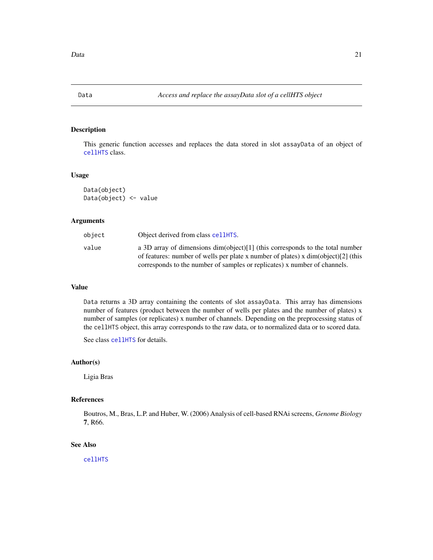<span id="page-20-2"></span><span id="page-20-1"></span><span id="page-20-0"></span>

This generic function accesses and replaces the data stored in slot assayData of an object of [cellHTS](#page-8-1) class.

# Usage

Data(object) Data(object) <- value

#### Arguments

| object | Object derived from class cellHTS.                                                                                                                               |
|--------|------------------------------------------------------------------------------------------------------------------------------------------------------------------|
| value  | a 3D array of dimensions $dim(object)[1]$ (this corresponds to the total number                                                                                  |
|        | of features: number of wells per plate x number of plates) x $dim(object)[2]$ (this<br>corresponds to the number of samples or replicates) x number of channels. |

# Value

Data returns a 3D array containing the contents of slot assayData. This array has dimensions number of features (product between the number of wells per plates and the number of plates) x number of samples (or replicates) x number of channels. Depending on the preprocessing status of the cellHTS object, this array corresponds to the raw data, or to normalized data or to scored data.

See class [cellHTS](#page-8-1) for details.

# Author(s)

Ligia Bras

#### References

Boutros, M., Bras, L.P. and Huber, W. (2006) Analysis of cell-based RNAi screens, *Genome Biology* 7, R66.

# See Also

[cellHTS](#page-8-1)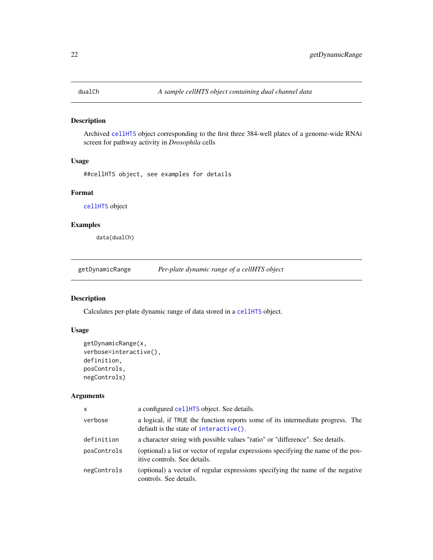<span id="page-21-1"></span><span id="page-21-0"></span>

Archived [cellHTS](#page-8-1) object corresponding to the first three 384-well plates of a genome-wide RNAi screen for pathway activity in *Drosophila* cells

# Usage

##cellHTS object, see examples for details

# Format

[cellHTS](#page-8-1) object

# Examples

data(dualCh)

<span id="page-21-2"></span>getDynamicRange *Per-plate dynamic range of a cellHTS object*

# Description

Calculates per-plate dynamic range of data stored in a [cellHTS](#page-8-1) object.

# Usage

```
getDynamicRange(x,
verbose=interactive(),
definition,
posControls,
negControls)
```
# Arguments

| X           | a configured cellHTS object. See details.                                                                                |
|-------------|--------------------------------------------------------------------------------------------------------------------------|
| verbose     | a logical, if TRUE the function reports some of its intermediate progress. The<br>default is the state of interactive(). |
| definition  | a character string with possible values "ratio" or "difference". See details.                                            |
| posControls | (optional) a list or vector of regular expressions specifying the name of the pos-<br>itive controls. See details.       |
| negControls | (optional) a vector of regular expressions specifying the name of the negative<br>controls. See details.                 |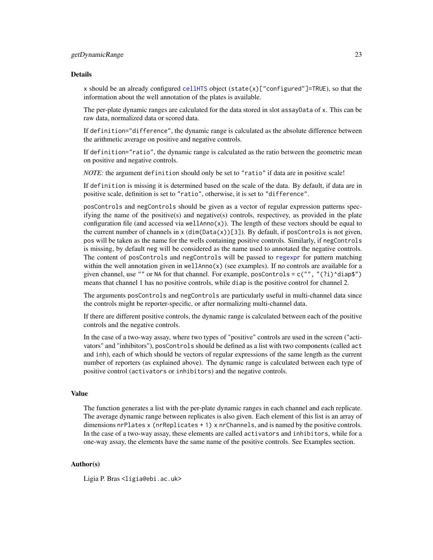#### Details

x should be an already configured [cellHTS](#page-8-1) object (state(x)["configured"]=TRUE), so that the information about the well annotation of the plates is available.

The per-plate dynamic ranges are calculated for the data stored in slot assayData of x. This can be raw data, normalized data or scored data.

If definition="difference", the dynamic range is calculated as the absolute difference between the arithmetic average on positive and negative controls.

If definition="ratio", the dynamic range is calculated as the ratio between the geometric mean on positive and negative controls.

*NOTE*: the argument definition should only be set to "ratio" if data are in positive scale!

If definition is missing it is determined based on the scale of the data. By default, if data are in positive scale, definition is set to "ratio", otherwise, it is set to "difference".

posControls and negControls should be given as a vector of regular expression patterns specifying the name of the positive(s) and negative(s) controls, respectivey, as provided in the plate configuration file (and accessed via wellAnno $(x)$ ). The length of these vectors should be equal to the current number of channels in  $x$  (dim(Data(x))[3]). By default, if posControls is not given, pos will be taken as the name for the wells containing positive controls. Similarly, if negControls is missing, by default neg will be considered as the name used to annotated the negative controls. The content of posControls and negControls will be passed to [regexpr](#page-0-0) for pattern matching within the well annotation given in wellAnno $(x)$  (see examples). If no controls are available for a given channel, use "" or NA for that channel. For example, posControls =  $c("", "(?i)^{\dagger}$ diap\$") means that channel 1 has no positive controls, while diap is the positive control for channel 2.

The arguments posControls and negControls are particularly useful in multi-channel data since the controls might be reporter-specific, or after normalizing multi-channel data.

If there are different positive controls, the dynamic range is calculated between each of the positive controls and the negative controls.

In the case of a two-way assay, where two types of "positive" controls are used in the screen ("activators" and "inhibitors"), posControls should be defined as a list with two components (called act and inh), each of which should be vectors of regular expressions of the same length as the current number of reporters (as explained above). The dynamic range is calculated between each type of positive control (activators or inhibitors) and the negative controls.

#### Value

The function generates a list with the per-plate dynamic ranges in each channel and each replicate. The average dynamic range between replicates is also given. Each element of this list is an array of dimensions nrPlates x (nrReplicates + 1) x nrChannels, and is named by the positive controls. In the case of a two-way assay, these elements are called activators and inhibitors, while for a one-way assay, the elements have the same name of the positive controls. See Examples section.

#### Author(s)

Ligia P. Bras <ligia@ebi.ac.uk>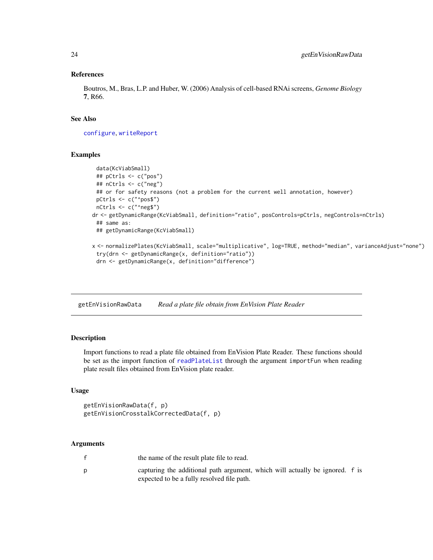# References

Boutros, M., Bras, L.P. and Huber, W. (2006) Analysis of cell-based RNAi screens, *Genome Biology* 7, R66.

# See Also

[configure](#page-16-1), [writeReport](#page-68-1)

# Examples

```
data(KcViabSmall)
 ## pCtrls <- c("pos")
 ## nCtrls <- c("neg")
 ## or for safety reasons (not a problem for the current well annotation, however)
 pCtrls <- c("^pos$")
 nCtrls <- c("^neg$")
dr <- getDynamicRange(KcViabSmall, definition="ratio", posControls=pCtrls, negControls=nCtrls)
 ## same as:
 ## getDynamicRange(KcViabSmall)
x <- normalizePlates(KcViabSmall, scale="multiplicative", log=TRUE, method="median", varianceAdjust="none")
 try(drn <- getDynamicRange(x, definition="ratio"))
 drn <- getDynamicRange(x, definition="difference")
```
<span id="page-23-1"></span>getEnVisionRawData *Read a plate file obtain from EnVision Plate Reader*

# <span id="page-23-2"></span>Description

Import functions to read a plate file obtained from EnVision Plate Reader. These functions should be set as the import function of [readPlateList](#page-44-1) through the argument importFun when reading plate result files obtained from EnVision plate reader.

#### Usage

```
getEnVisionRawData(f, p)
getEnVisionCrosstalkCorrectedData(f, p)
```
#### Arguments

| the name of the result plate file to read.                                                                                 |  |
|----------------------------------------------------------------------------------------------------------------------------|--|
| capturing the additional path argument, which will actually be ignored. f is<br>expected to be a fully resolved file path. |  |

<span id="page-23-0"></span>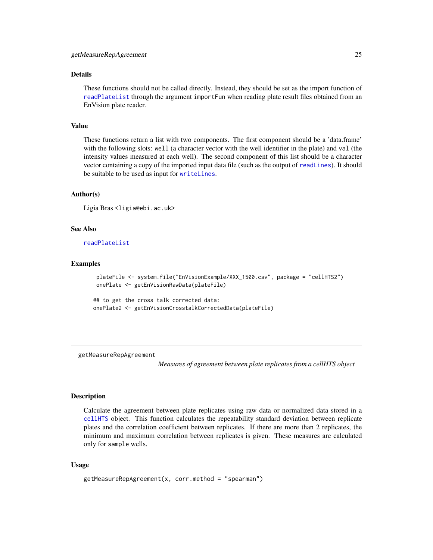# <span id="page-24-0"></span>Details

These functions should not be called directly. Instead, they should be set as the import function of [readPlateList](#page-44-1) through the argument importFun when reading plate result files obtained from an EnVision plate reader.

# Value

These functions return a list with two components. The first component should be a 'data.frame' with the following slots: well (a character vector with the well identifier in the plate) and val (the intensity values measured at each well). The second component of this list should be a character vector containing a copy of the imported input data file (such as the output of [readLines](#page-0-0)). It should be suitable to be used as input for [writeLines](#page-0-0).

# Author(s)

```
Ligia Bras <ligia@ebi.ac.uk>
```
# See Also

[readPlateList](#page-44-1)

#### Examples

```
plateFile <- system.file("EnVisionExample/XXX_1500.csv", package = "cellHTS2")
onePlate <- getEnVisionRawData(plateFile)
```

```
## to get the cross talk corrected data:
onePlate2 <- getEnVisionCrosstalkCorrectedData(plateFile)
```
<span id="page-24-1"></span>getMeasureRepAgreement

*Measures of agreement between plate replicates from a cellHTS object*

# **Description**

Calculate the agreement between plate replicates using raw data or normalized data stored in a [cellHTS](#page-8-1) object. This function calculates the repeatability standard deviation between replicate plates and the correlation coefficient between replicates. If there are more than 2 replicates, the minimum and maximum correlation between replicates is given. These measures are calculated only for sample wells.

# Usage

```
getMeasureRepAgreement(x, corr.method = "spearman")
```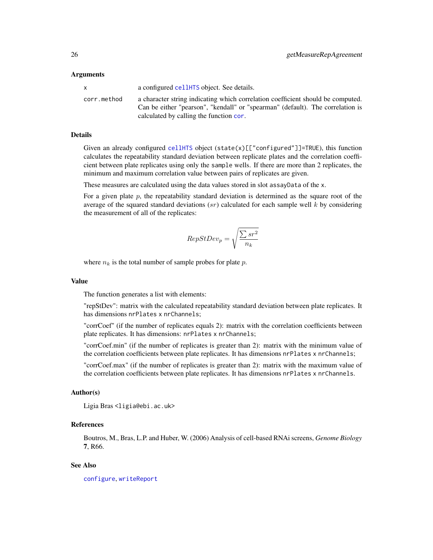#### Arguments

|             | a configured cellently object. See details.                                                                                                                                                                  |
|-------------|--------------------------------------------------------------------------------------------------------------------------------------------------------------------------------------------------------------|
| corr.method | a character string indicating which correlation coefficient should be computed.<br>Can be either "pearson", "kendall" or "spearman" (default). The correlation is<br>calculated by calling the function cor. |

#### Details

Given an already configured [cellHTS](#page-8-1) object (state(x)[["configured"]]=TRUE), this function calculates the repeatability standard deviation between replicate plates and the correlation coefficient between plate replicates using only the sample wells. If there are more than 2 replicates, the minimum and maximum correlation value between pairs of replicates are given.

These measures are calculated using the data values stored in slot assayData of the x.

For a given plate  $p$ , the repeatability standard deviation is determined as the square root of the average of the squared standard deviations  $(sr)$  calculated for each sample well k by considering the measurement of all of the replicates:

$$
RepStDev_p = \sqrt{\frac{\sum sr^2}{n_k}}
$$

where  $n_k$  is the total number of sample probes for plate p.

#### Value

The function generates a list with elements:

"repStDev": matrix with the calculated repeatability standard deviation between plate replicates. It has dimensions nrPlates x nrChannels;

"corrCoef" (if the number of replicates equals 2): matrix with the correlation coefficients between plate replicates. It has dimensions: nrPlates x nrChannels;

"corrCoef.min" (if the number of replicates is greater than 2): matrix with the minimum value of the correlation coefficients between plate replicates. It has dimensions nrPlates x nrChannels;

"corrCoef.max" (if the number of replicates is greater than 2): matrix with the maximum value of the correlation coefficients between plate replicates. It has dimensions nrPlates x nrChannels.

# Author(s)

Ligia Bras <ligia@ebi.ac.uk>

# References

Boutros, M., Bras, L.P. and Huber, W. (2006) Analysis of cell-based RNAi screens, *Genome Biology* 7, R66.

#### See Also

[configure](#page-16-1), [writeReport](#page-68-1)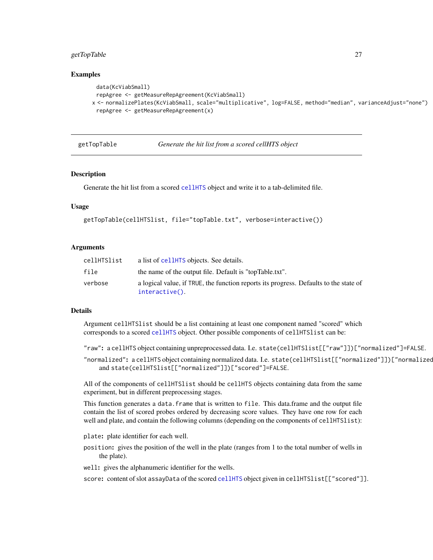# <span id="page-26-0"></span>getTopTable 27

# Examples

```
data(KcViabSmall)
 repAgree <- getMeasureRepAgreement(KcViabSmall)
x <- normalizePlates(KcViabSmall, scale="multiplicative", log=FALSE, method="median", varianceAdjust="none")
 repAgree <- getMeasureRepAgreement(x)
```
<span id="page-26-1"></span>getTopTable *Generate the hit list from a scored cellHTS object*

# **Description**

Generate the hit list from a scored [cellHTS](#page-8-1) object and write it to a tab-delimited file.

#### Usage

```
getTopTable(cellHTSlist, file="topTable.txt", verbose=interactive())
```
# **Arguments**

| cellHTSlist | a list of cellHTS objects. See details.                                                                 |
|-------------|---------------------------------------------------------------------------------------------------------|
| file        | the name of the output file. Default is "topTable.txt".                                                 |
| verbose     | a logical value, if TRUE, the function reports its progress. Defaults to the state of<br>interactive(). |

# Details

Argument cellHTSlist should be a list containing at least one component named "scored" which corresponds to a scored [cellHTS](#page-8-1) object. Other possible components of cellHTSlist can be:

"raw": a cellHTS object containing unpreprocessed data. I.e. state(cellHTSlist[["raw"]])["normalized"]=FALSE.

"normalized": a cellHTS object containing normalized data. I.e. state(cellHTSlist[["normalized"]])["normalized and state(cellHTSlist[["normalized"]])["scored"]=FALSE.

All of the components of cellHTSlist should be cellHTS objects containing data from the same experiment, but in different preprocessing stages.

This function generates a data.frame that is written to file. This data.frame and the output file contain the list of scored probes ordered by decreasing score values. They have one row for each well and plate, and contain the following columns (depending on the components of cellHTSlist):

plate: plate identifier for each well.

position: gives the position of the well in the plate (ranges from 1 to the total number of wells in the plate).

well: gives the alphanumeric identifier for the wells.

score: content of slot assayData of the scored [cellHTS](#page-8-1) object given in cellHTSlist[["scored"]].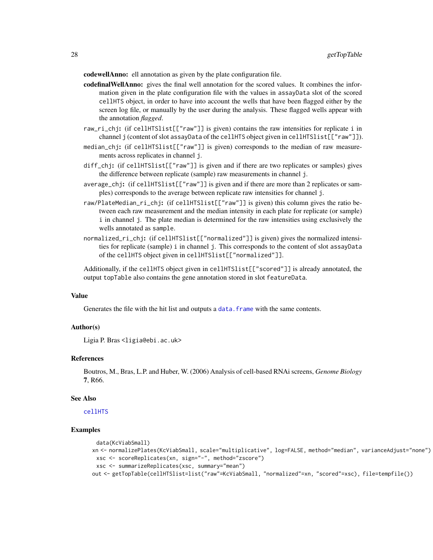codewellAnno: ell annotation as given by the plate configuration file.

- codefinalWellAnno: gives the final well annotation for the scored values. It combines the information given in the plate configuration file with the values in assayData slot of the scored cellHTS object, in order to have into account the wells that have been flagged either by the screen log file, or manually by the user during the analysis. These flagged wells appear with the annotation *flagged*.
- raw\_ri\_chj: (if cellHTSlist[["raw"]] is given) contains the raw intensities for replicate i in channel j (content of slot assayData of the cellHTS object given in cellHTSlist[["raw"]]).
- median\_chj: (if cellHTSlist[["raw"]] is given) corresponds to the median of raw measurements across replicates in channel j.
- diff\_chj: (if cellHTSlist[["raw"]] is given and if there are two replicates or samples) gives the difference between replicate (sample) raw measurements in channel j.
- average\_chj: (if cellHTSlist[["raw"]] is given and if there are more than 2 replicates or samples) corresponds to the average between replicate raw intensities for channel j.
- raw/PlateMedian\_ri\_chj: (if cellHTSlist[["raw"]] is given) this column gives the ratio between each raw measurement and the median intensity in each plate for replicate (or sample) i in channel j. The plate median is determined for the raw intensities using exclusively the wells annotated as sample.
- normalized\_ri\_chj: (if cellHTSlist[["normalized"]] is given) gives the normalized intensities for replicate (sample) i in channel j. This corresponds to the content of slot assayData of the cellHTS object given in cellHTSlist[["normalized"]].

Additionally, if the cellHTS object given in cellHTSlist[["scored"]] is already annotated, the output topTable also contains the gene annotation stored in slot featureData.

#### Value

Generates the file with the hit list and outputs a data. frame with the same contents.

# Author(s)

Ligia P. Bras <ligia@ebi.ac.uk>

#### References

Boutros, M., Bras, L.P. and Huber, W. (2006) Analysis of cell-based RNAi screens, *Genome Biology* 7, R66.

#### See Also

[cellHTS](#page-8-1)

```
data(KcViabSmall)
xn <- normalizePlates(KcViabSmall, scale="multiplicative", log=FALSE, method="median", varianceAdjust="none")
 xsc <- scoreReplicates(xn, sign="-", method="zscore")
 xsc <- summarizeReplicates(xsc, summary="mean")
out <- getTopTable(cellHTSlist=list("raw"=KcViabSmall, "normalized"=xn, "scored"=xsc), file=tempfile())
```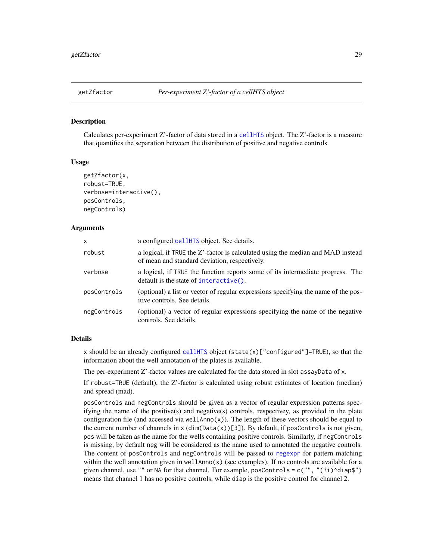<span id="page-28-1"></span><span id="page-28-0"></span>

Calculates per-experiment Z'-factor of data stored in a [cellHTS](#page-8-1) object. The Z'-factor is a measure that quantifies the separation between the distribution of positive and negative controls.

#### Usage

```
getZfactor(x,
robust=TRUE,
verbose=interactive(),
posControls,
negControls)
```
#### Arguments

| x           | a configured cellHTS object. See details.                                                                                        |
|-------------|----------------------------------------------------------------------------------------------------------------------------------|
| robust      | a logical, if TRUE the Z'-factor is calculated using the median and MAD instead<br>of mean and standard deviation, respectively. |
| verbose     | a logical, if TRUE the function reports some of its intermediate progress. The<br>default is the state of interactive().         |
| posControls | (optional) a list or vector of regular expressions specifying the name of the pos-<br>itive controls. See details.               |
| negControls | (optional) a vector of regular expressions specifying the name of the negative<br>controls. See details.                         |

# Details

x should be an already configured [cellHTS](#page-8-1) object  $(\text{state}(x)[\text{"configured"]=TRUE})$ , so that the information about the well annotation of the plates is available.

The per-experiment Z'-factor values are calculated for the data stored in slot assayData of x.

If robust=TRUE (default), the Z'-factor is calculated using robust estimates of location (median) and spread (mad).

posControls and negControls should be given as a vector of regular expression patterns specifying the name of the positive(s) and negative(s) controls, respectivey, as provided in the plate configuration file (and accessed via wellAnno $(x)$ ). The length of these vectors should be equal to the current number of channels in  $x$  (dim(Data(x))[3]). By default, if posControls is not given, pos will be taken as the name for the wells containing positive controls. Similarly, if negControls is missing, by default neg will be considered as the name used to annotated the negative controls. The content of posControls and negControls will be passed to [regexpr](#page-0-0) for pattern matching within the well annotation given in wellAnno $(x)$  (see examples). If no controls are available for a given channel, use "" or NA for that channel. For example, posControls =  $c("", "(?i)^{\land diap$")$ means that channel 1 has no positive controls, while diap is the positive control for channel 2.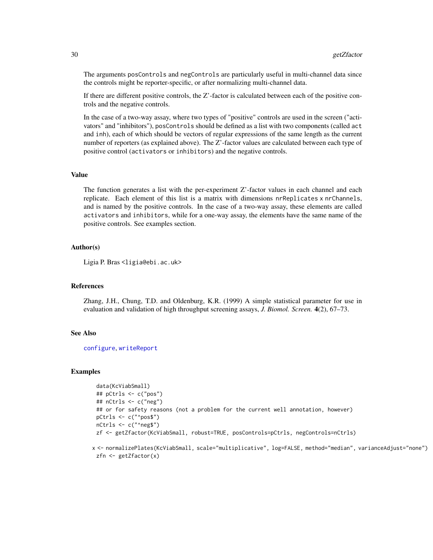The arguments posControls and negControls are particularly useful in multi-channel data since the controls might be reporter-specific, or after normalizing multi-channel data.

If there are different positive controls, the Z'-factor is calculated between each of the positive controls and the negative controls.

In the case of a two-way assay, where two types of "positive" controls are used in the screen ("activators" and "inhibitors"), posControls should be defined as a list with two components (called act and inh), each of which should be vectors of regular expressions of the same length as the current number of reporters (as explained above). The Z'-factor values are calculated between each type of positive control (activators or inhibitors) and the negative controls.

# Value

The function generates a list with the per-experiment Z'-factor values in each channel and each replicate. Each element of this list is a matrix with dimensions nrReplicates x nrChannels, and is named by the positive controls. In the case of a two-way assay, these elements are called activators and inhibitors, while for a one-way assay, the elements have the same name of the positive controls. See examples section.

#### Author(s)

Ligia P. Bras <ligia@ebi.ac.uk>

# References

Zhang, J.H., Chung, T.D. and Oldenburg, K.R. (1999) A simple statistical parameter for use in evaluation and validation of high throughput screening assays, *J. Biomol. Screen.* 4(2), 67–73.

# See Also

[configure](#page-16-1), [writeReport](#page-68-1)

#### Examples

```
data(KcViabSmall)
## pCtrls <- c("pos")
## nCtrls <- c("neg")
## or for safety reasons (not a problem for the current well annotation, however)
pCtrls <- c("^pos$")
nCtrls <- c("^neg$")
zf <- getZfactor(KcViabSmall, robust=TRUE, posControls=pCtrls, negControls=nCtrls)
```
x <- normalizePlates(KcViabSmall, scale="multiplicative", log=FALSE, method="median", varianceAdjust="none") zfn <- getZfactor(x)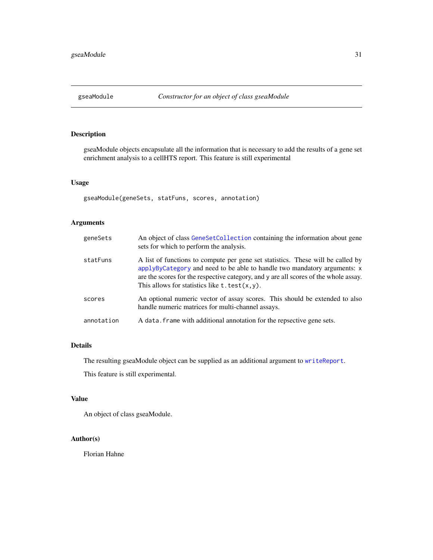<span id="page-30-0"></span>

gseaModule objects encapsulate all the information that is necessary to add the results of a gene set enrichment analysis to a cellHTS report. This feature is still experimental

# Usage

gseaModule(geneSets, statFuns, scores, annotation)

# Arguments

| geneSets   | An object of class GeneSetCollection containing the information about gene<br>sets for which to perform the analysis.                                                                                                                                                                                           |
|------------|-----------------------------------------------------------------------------------------------------------------------------------------------------------------------------------------------------------------------------------------------------------------------------------------------------------------|
| statFuns   | A list of functions to compute per gene set statistics. These will be called by<br>applyByCategory and need to be able to handle two mandatory arguments: x<br>are the scores for the respective category, and y are all scores of the whole assay.<br>This allows for statistics like $t. \text{test}(x, y)$ . |
| scores     | An optional numeric vector of assay scores. This should be extended to also<br>handle numeric matrices for multi-channel assays.                                                                                                                                                                                |
| annotation | A data. frame with additional annotation for the repsective gene sets.                                                                                                                                                                                                                                          |

#### Details

The resulting gseaModule object can be supplied as an additional argument to [writeReport](#page-68-1).

This feature is still experimental.

#### Value

An object of class gseaModule.

# Author(s)

Florian Hahne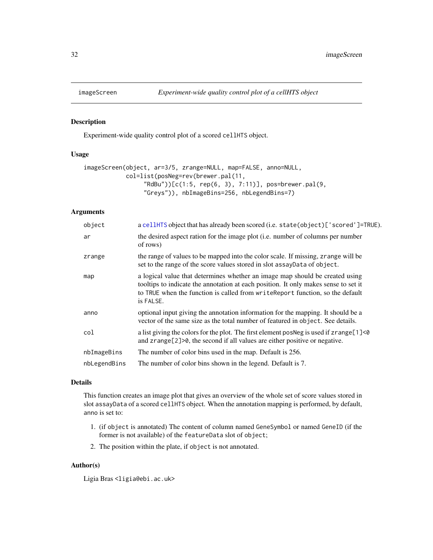<span id="page-31-1"></span><span id="page-31-0"></span>

Experiment-wide quality control plot of a scored cellHTS object.

# Usage

```
imageScreen(object, ar=3/5, zrange=NULL, map=FALSE, anno=NULL,
           col=list(posNeg=rev(brewer.pal(11,
                 "RdBu"))[c(1:5, rep(6, 3), 7:11)], pos=brewer.pal(9,
                 "Greys")), nbImageBins=256, nbLegendBins=7)
```
# Arguments

| object       | a cellHTS object that has already been scored (i.e. state (object) ['scored']=TRUE).                                                                                                                                                                               |
|--------------|--------------------------------------------------------------------------------------------------------------------------------------------------------------------------------------------------------------------------------------------------------------------|
| ar           | the desired aspect ration for the image plot (i.e. number of columns per number<br>of rows)                                                                                                                                                                        |
| zrange       | the range of values to be mapped into the color scale. If missing, zrange will be<br>set to the range of the score values stored in slot assayData of object.                                                                                                      |
| map          | a logical value that determines whether an image map should be created using<br>tooltips to indicate the annotation at each position. It only makes sense to set it<br>to TRUE when the function is called from write Report function, so the default<br>is FALSE. |
| anno         | optional input giving the annotation information for the mapping. It should be a<br>vector of the same size as the total number of featured in object. See details.                                                                                                |
| col          | a list giving the colors for the plot. The first element posNeg is used if zrange[1]<0<br>and $z$ range $[2]$ $>0$ , the second if all values are either positive or negative.                                                                                     |
| nbImageBins  | The number of color bins used in the map. Default is 256.                                                                                                                                                                                                          |
| nbLegendBins | The number of color bins shown in the legend. Default is 7.                                                                                                                                                                                                        |
|              |                                                                                                                                                                                                                                                                    |

#### Details

This function creates an image plot that gives an overview of the whole set of score values stored in slot assayData of a scored cellHTS object. When the annotation mapping is performed, by default, anno is set to:

- 1. (if object is annotated) The content of column named GeneSymbol or named GeneID (if the former is not available) of the featureData slot of object;
- 2. The position within the plate, if object is not annotated.

# Author(s)

Ligia Bras <ligia@ebi.ac.uk>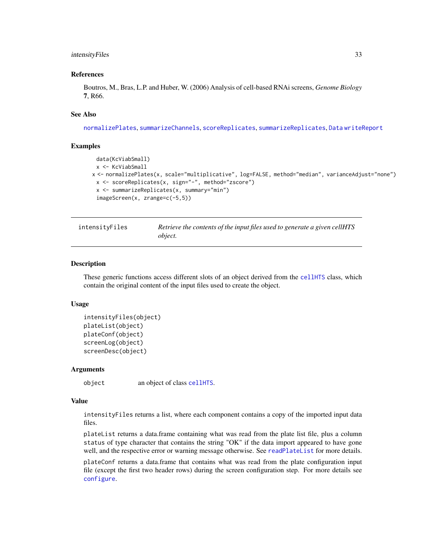#### <span id="page-32-0"></span>intensityFiles 33

#### References

Boutros, M., Bras, L.P. and Huber, W. (2006) Analysis of cell-based RNAi screens, *Genome Biology* 7, R66.

### See Also

[normalizePlates](#page-34-1), [summarizeChannels](#page-61-1), [scoreReplicates](#page-51-1), [summarizeReplicates](#page-63-1), [Data](#page-20-1) [writeReport](#page-68-1)

#### Examples

```
data(KcViabSmall)
 x <- KcViabSmall
x <- normalizePlates(x, scale="multiplicative", log=FALSE, method="median", varianceAdjust="none")
 x <- scoreReplicates(x, sign="-", method="zscore")
 x <- summarizeReplicates(x, summary="min")
 imageScreen(x, zrange=c(-5,5))
```
<span id="page-32-1"></span>intensityFiles *Retrieve the contents of the input files used to generate a given cellHTS object.*

#### <span id="page-32-2"></span>Description

These generic functions access different slots of an object derived from the [cellHTS](#page-8-1) class, which contain the original content of the input files used to create the object.

#### Usage

```
intensityFiles(object)
plateList(object)
plateConf(object)
screenLog(object)
screenDesc(object)
```
#### Arguments

object an object of class [cellHTS](#page-8-1).

#### Value

intensityFiles returns a list, where each component contains a copy of the imported input data files.

plateList returns a data.frame containing what was read from the plate list file, plus a column status of type character that contains the string "OK" if the data import appeared to have gone well, and the respective error or warning message otherwise. See [readPlateList](#page-44-1) for more details.

plateConf returns a data.frame that contains what was read from the plate configuration input file (except the first two header rows) during the screen configuration step. For more details see [configure](#page-16-1).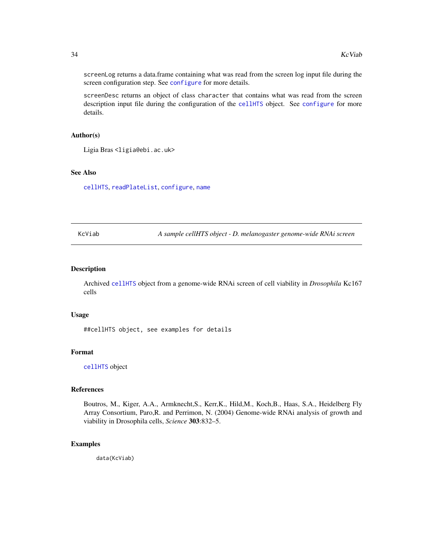screenLog returns a data.frame containing what was read from the screen log input file during the screen configuration step. See [configure](#page-16-1) for more details.

screenDesc returns an object of class character that contains what was read from the screen description input file during the configuration of the [cellHTS](#page-8-1) object. See [configure](#page-16-1) for more details.

#### Author(s)

Ligia Bras <ligia@ebi.ac.uk>

# See Also

[cellHTS](#page-8-1), [readPlateList](#page-44-1), [configure](#page-16-1), [name](#page-8-2)

<span id="page-33-1"></span>KcViab *A sample cellHTS object - D. melanogaster genome-wide RNAi screen*

# Description

Archived [cellHTS](#page-8-1) object from a genome-wide RNAi screen of cell viability in *Drosophila* Kc167 cells

#### Usage

##cellHTS object, see examples for details

#### Format

[cellHTS](#page-8-1) object

# References

Boutros, M., Kiger, A.A., Armknecht,S., Kerr,K., Hild,M., Koch,B., Haas, S.A., Heidelberg Fly Array Consortium, Paro,R. and Perrimon, N. (2004) Genome-wide RNAi analysis of growth and viability in Drosophila cells, *Science* 303:832–5.

# Examples

data(KcViab)

<span id="page-33-0"></span>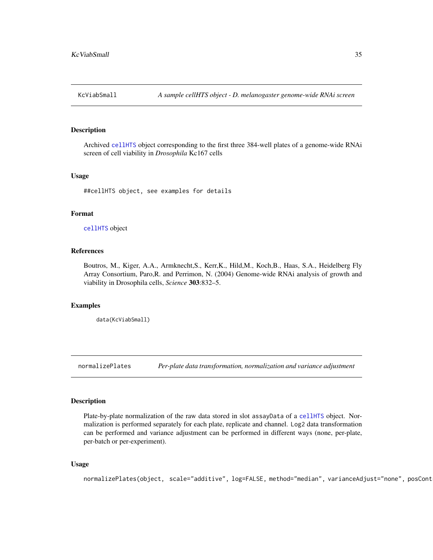<span id="page-34-2"></span><span id="page-34-0"></span>

Archived [cellHTS](#page-8-1) object corresponding to the first three 384-well plates of a genome-wide RNAi screen of cell viability in *Drosophila* Kc167 cells

#### Usage

##cellHTS object, see examples for details

# Format

[cellHTS](#page-8-1) object

# References

Boutros, M., Kiger, A.A., Armknecht,S., Kerr,K., Hild,M., Koch,B., Haas, S.A., Heidelberg Fly Array Consortium, Paro,R. and Perrimon, N. (2004) Genome-wide RNAi analysis of growth and viability in Drosophila cells, *Science* 303:832–5.

# Examples

data(KcViabSmall)

<span id="page-34-1"></span>normalizePlates *Per-plate data transformation, normalization and variance adjustment*

#### Description

Plate-by-plate normalization of the raw data stored in slot assayData of a [cellHTS](#page-8-1) object. Normalization is performed separately for each plate, replicate and channel. Log2 data transformation can be performed and variance adjustment can be performed in different ways (none, per-plate, per-batch or per-experiment).

#### Usage

```
normalizePlates(object, scale="additive", log=FALSE, method="median", varianceAdjust="none", posCont
```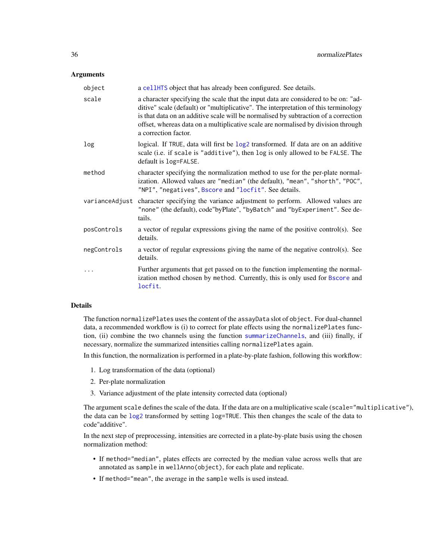#### **Arguments**

| object         | a cellHTS object that has already been configured. See details.                                                                                                                                                                                                                                                                                                               |
|----------------|-------------------------------------------------------------------------------------------------------------------------------------------------------------------------------------------------------------------------------------------------------------------------------------------------------------------------------------------------------------------------------|
| scale          | a character specifying the scale that the input data are considered to be on: "ad-<br>ditive" scale (default) or "multiplicative". The interpretation of this terminology<br>is that data on an additive scale will be normalised by subtraction of a correction<br>offset, whereas data on a multiplicative scale are normalised by division through<br>a correction factor. |
| log            | logical. If TRUE, data will first be log2 transformed. If data are on an additive<br>scale (i.e. if scale is "additive"), then log is only allowed to be FALSE. The<br>default is log=FALSE.                                                                                                                                                                                  |
| method         | character specifying the normalization method to use for the per-plate normal-<br>ization. Allowed values are "median" (the default), "mean", "shorth", "POC",<br>"NPI", "negatives", Bscore and "locfit". See details.                                                                                                                                                       |
| varianceAdjust | character specifying the variance adjustment to perform. Allowed values are<br>"none" (the default), code"byPlate", "byBatch" and "byExperiment". See de-<br>tails.                                                                                                                                                                                                           |
| posControls    | a vector of regular expressions giving the name of the positive control(s). See<br>details.                                                                                                                                                                                                                                                                                   |
| negControls    | a vector of regular expressions giving the name of the negative control(s). See<br>details.                                                                                                                                                                                                                                                                                   |
|                | Further arguments that get passed on to the function implementing the normal-<br>ization method chosen by method. Currently, this is only used for Bscore and<br>locfit.                                                                                                                                                                                                      |

#### Details

The function normalizePlates uses the content of the assayData slot of object. For dual-channel data, a recommended workflow is (i) to correct for plate effects using the normalizePlates function, (ii) combine the two channels using the function [summarizeChannels](#page-61-1), and (iii) finally, if necessary, normalize the summarized intensities calling normalizePlates again.

In this function, the normalization is performed in a plate-by-plate fashion, following this workflow:

- 1. Log transformation of the data (optional)
- 2. Per-plate normalization
- 3. Variance adjustment of the plate intensity corrected data (optional)

The argument scale defines the scale of the data. If the data are on a multiplicative scale (scale="multiplicative"), the data can be [log2](#page-0-0) transformed by setting log=TRUE. This then changes the scale of the data to code"additive".

In the next step of preprocessing, intensities are corrected in a plate-by-plate basis using the chosen normalization method:

- If method="median", plates effects are corrected by the median value across wells that are annotated as sample in wellAnno(object), for each plate and replicate.
- If method="mean", the average in the sample wells is used instead.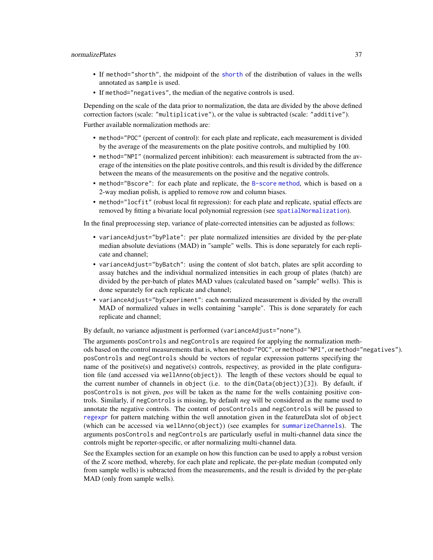- If method="shorth", the midpoint of the [shorth](#page-0-0) of the distribution of values in the wells annotated as sample is used.
- If method="negatives", the median of the negative controls is used.

Depending on the scale of the data prior to normalization, the data are divided by the above defined correction factors (scale: "multiplicative"), or the value is subtracted (scale: "additive").

Further available normalization methods are:

- method="POC" (percent of control): for each plate and replicate, each measurement is divided by the average of the measurements on the plate positive controls, and multiplied by 100.
- method="NPI" (normalized percent inhibition): each measurement is subtracted from the average of the intensities on the plate positive controls, and this result is divided by the difference between the means of the measurements on the positive and the negative controls.
- method="Bscore": for each plate and replicate, the [B-score method](#page-0-0), which is based on a 2-way median polish, is applied to remove row and column biases.
- method="locfit" (robust local fit regression): for each plate and replicate, spatial effects are removed by fitting a bivariate local polynomial regression (see [spatialNormalization](#page-59-0)).

In the final preprocessing step, variance of plate-corrected intensities can be adjusted as follows:

- varianceAdjust="byPlate": per plate normalized intensities are divided by the per-plate median absolute deviations (MAD) in "sample" wells. This is done separately for each replicate and channel;
- varianceAdjust="byBatch": using the content of slot batch, plates are split according to assay batches and the individual normalized intensities in each group of plates (batch) are divided by the per-batch of plates MAD values (calculated based on "sample" wells). This is done separately for each replicate and channel;
- varianceAdjust="byExperiment": each normalized measurement is divided by the overall MAD of normalized values in wells containing "sample". This is done separately for each replicate and channel;

By default, no variance adjustment is performed (varianceAdjust="none").

The arguments posControls and negControls are required for applying the normalization methods based on the control measurements that is, when method="POC", or method="NPI", or method="negatives"). posControls and negControls should be vectors of regular expression patterns specifying the name of the positive(s) and negative(s) controls, respectivey, as provided in the plate configuration file (and accessed via wellAnno(object)). The length of these vectors should be equal to the current number of channels in object (i.e. to the  $dim(Data(objject))[3])$ . By default, if posControls is not given, *pos* will be taken as the name for the wells containing positive controls. Similarly, if negControls is missing, by default *neg* will be considered as the name used to annotate the negative controls. The content of posControls and negControls will be passed to [regexpr](#page-0-0) for pattern matching within the well annotation given in the featureData slot of object (which can be accessed via wellAnno(object)) (see examples for [summarizeChannels](#page-61-0)). The arguments posControls and negControls are particularly useful in multi-channel data since the controls might be reporter-specific, or after normalizing multi-channel data.

See the Examples section for an example on how this function can be used to apply a robust version of the Z score method, whereby, for each plate and replicate, the per-plate median (computed only from sample wells) is subtracted from the measurements, and the result is divided by the per-plate MAD (only from sample wells).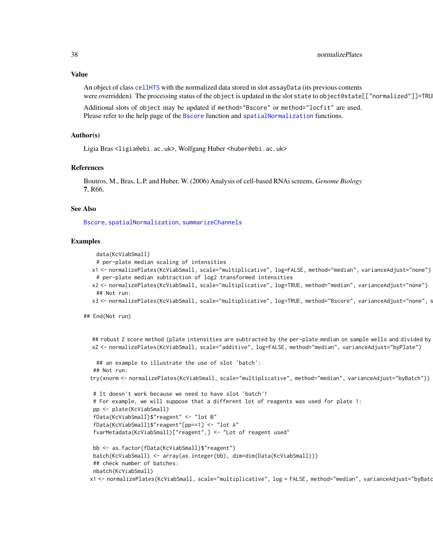An object of class [cellHTS](#page-8-0) with the normalized data stored in slot assayData (its previous contents were overridden). The processing status of the object is updated in the slot state to object@state[["normalized"]]=TRU

Additional slots of object may be updated if method="Bscore" or method="locfit" are used. Please refer to the help page of the [Bscore](#page-5-0) function and [spatialNormalization](#page-59-0) functions.

# Author(s)

Ligia Bras <ligia@ebi.ac.uk>, Wolfgang Huber <huber@ebi.ac.uk>

## References

Boutros, M., Bras, L.P. and Huber, W. (2006) Analysis of cell-based RNAi screens, *Genome Biology* 7, R66.

## See Also

[Bscore](#page-5-0), [spatialNormalization](#page-59-0), [summarizeChannels](#page-61-0)

## Examples

data(KcViabSmall)

- # per-plate median scaling of intensities
- x1 <- normalizePlates(KcViabSmall, scale="multiplicative", log=FALSE, method="median", varianceAdjust="none") # per-plate median subtraction of log2 transformed intensities
- x2 <- normalizePlates(KcViabSmall, scale="multiplicative", log=TRUE, method="median", varianceAdjust="none") ## Not run:
- x3 <- normalizePlates(KcViabSmall, scale="multiplicative", log=TRUE, method="Bscore", varianceAdjust="none", s

## End(Not run)

```
## robust Z score method (plate intensities are subtracted by the per-plate median on sample wells and divided by
xZ <- normalizePlates(KcViabSmall, scale="additive", log=FALSE, method="median", varianceAdjust="byPlate")
```

```
## an example to illustrate the use of slot 'batch':
 ## Not run:
try(xnorm <- normalizePlates(KcViabSmall, scale="multiplicative", method="median", varianceAdjust="byBatch"))
```

```
# It doesn't work because we need to have slot 'batch'!
# For example, we will suppose that a different lot of reagents was used for plate 1:
pp <- plate(KcViabSmall)
fData(KcViabSmall)$"reagent" <- "lot B"
fData(KcViabSmall)$"reagent"[pp==1] <- "lot A"
fvarMetadata(KcViabSmall)["reagent",] <- "Lot of reagent used"
```

```
bb <- as.factor(fData(KcViabSmall)$"reagent")
batch(KcViabSmall) <- array(as.integer(bb), dim=dim(Data(KcViabSmall)))
 ## check number of batches:
nbatch(KcViabSmall)
x1 <- normalizePlates(KcViabSmall, scale="multiplicative", log = FALSE, method="median", varianceAdjust="byBatc
```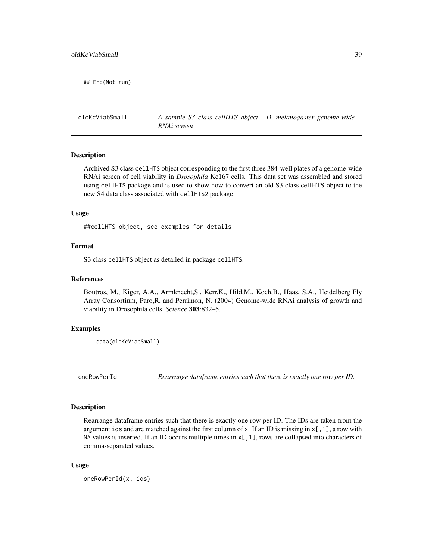## End(Not run)

oldKcViabSmall *A sample S3 class cellHTS object - D. melanogaster genome-wide RNAi screen*

# Description

Archived S3 class cellHTS object corresponding to the first three 384-well plates of a genome-wide RNAi screen of cell viability in *Drosophila* Kc167 cells. This data set was assembled and stored using cellHTS package and is used to show how to convert an old S3 class cellHTS object to the new S4 data class associated with cellHTS2 package.

# Usage

##cellHTS object, see examples for details

# Format

S3 class cellHTS object as detailed in package cellHTS.

## References

Boutros, M., Kiger, A.A., Armknecht,S., Kerr,K., Hild,M., Koch,B., Haas, S.A., Heidelberg Fly Array Consortium, Paro,R. and Perrimon, N. (2004) Genome-wide RNAi analysis of growth and viability in Drosophila cells, *Science* 303:832–5.

# Examples

data(oldKcViabSmall)

oneRowPerId *Rearrange dataframe entries such that there is exactly one row per ID.*

# Description

Rearrange dataframe entries such that there is exactly one row per ID. The IDs are taken from the argument ids and are matched against the first column of x. If an ID is missing in  $x$ [, 1], a row with NA values is inserted. If an ID occurs multiple times in  $x$ [,1], rows are collapsed into characters of comma-separated values.

## Usage

oneRowPerId(x, ids)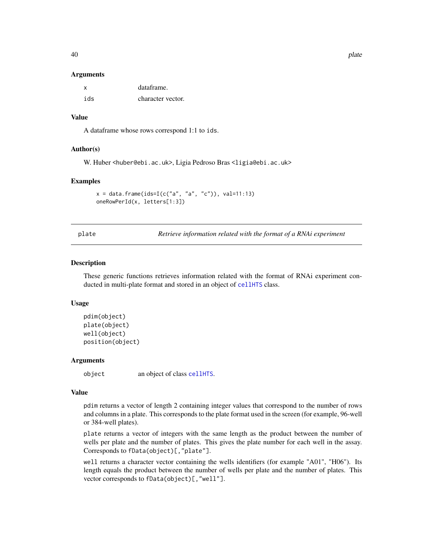#### **Arguments**

| X   | dataframe.        |
|-----|-------------------|
| ids | character vector. |

## Value

A dataframe whose rows correspond 1:1 to ids.

# Author(s)

W. Huber <huber@ebi.ac.uk>, Ligia Pedroso Bras <ligia@ebi.ac.uk>

#### Examples

```
x = data. frame(ids=I(c("a", "a", "c")), val=11:13)
oneRowPerId(x, letters[1:3])
```
plate *Retrieve information related with the format of a RNAi experiment*

## Description

These generic functions retrieves information related with the format of RNAi experiment conducted in multi-plate format and stored in an object of [cellHTS](#page-8-0) class.

# Usage

```
pdim(object)
plate(object)
well(object)
position(object)
```
#### Arguments

object an object of class [cellHTS](#page-8-0).

# Value

pdim returns a vector of length 2 containing integer values that correspond to the number of rows and columns in a plate. This corresponds to the plate format used in the screen (for example, 96-well or 384-well plates).

plate returns a vector of integers with the same length as the product between the number of wells per plate and the number of plates. This gives the plate number for each well in the assay. Corresponds to fData(object)[,"plate"].

well returns a character vector containing the wells identifiers (for example "A01", "H06"). Its length equals the product between the number of wells per plate and the number of plates. This vector corresponds to fData(object)[,"well"].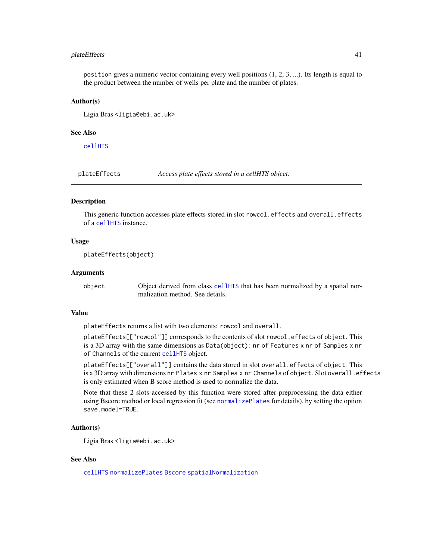#### plateEffects 41

position gives a numeric vector containing every well positions (1, 2, 3, ...). Its length is equal to the product between the number of wells per plate and the number of plates.

#### Author(s)

Ligia Bras <ligia@ebi.ac.uk>

# See Also

[cellHTS](#page-8-0)

<span id="page-40-0"></span>plateEffects *Access plate effects stored in a cellHTS object.*

## Description

This generic function accesses plate effects stored in slot rowcol.effects and overall.effects of a [cellHTS](#page-8-0) instance.

# Usage

plateEffects(object)

## Arguments

object Object derived from class [cellHTS](#page-8-0) that has been normalized by a spatial normalization method. See details.

# Value

plateEffects returns a list with two elements: rowcol and overall.

plateEffects[["rowcol"]] corresponds to the contents of slot rowcol.effects of object. This is a 3D array with the same dimensions as Data(object): nr of Features x nr of Samples x nr of Channels of the current [cellHTS](#page-8-0) object.

plateEffects[["overall"]] contains the data stored in slot overall.effects of object. This is a 3D array with dimensions nr Plates x nr Samples x nr Channels of object. Slot overall.effects is only estimated when B score method is used to normalize the data.

Note that these 2 slots accessed by this function were stored after preprocessing the data either using Bscore method or local regression fit (see [normalizePlates](#page-34-0) for details), by setting the option save.model=TRUE.

# Author(s)

Ligia Bras <ligia@ebi.ac.uk>

# See Also

[cellHTS](#page-8-0) [normalizePlates](#page-34-0) [Bscore](#page-5-0) [spatialNormalization](#page-59-0)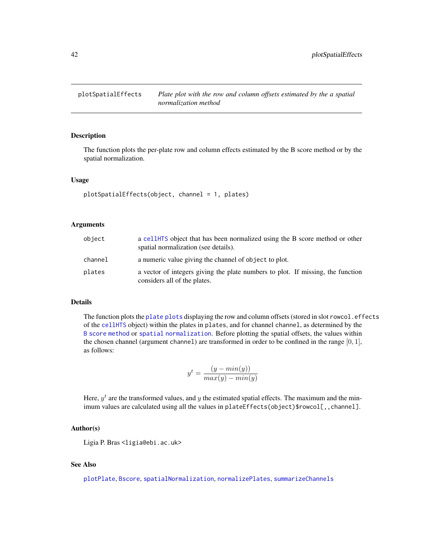<span id="page-41-0"></span>

# Description

The function plots the per-plate row and column effects estimated by the B score method or by the spatial normalization.

## Usage

```
plotSpatialEffects(object, channel = 1, plates)
```
## Arguments

| object  | a cellHTS object that has been normalized using the B score method or other<br>spatial normalization (see details). |
|---------|---------------------------------------------------------------------------------------------------------------------|
| channel | a numeric value giving the channel of object to plot.                                                               |
| plates  | a vector of integers giving the plate numbers to plot. If missing, the function<br>considers all of the plates.     |

#### Details

The function plots the [plate plots](#page-0-0) displaying the row and column offsets (stored in slot rowcol.effects of the [cellHTS](#page-8-0) object) within the plates in plates, and for channel channel, as determined by the [B score method](#page-0-0) or [spatial normalization](#page-0-0). Before plotting the spatial offsets, the values within the chosen channel (argument channel) are transformed in order to be confined in the range [0, 1], as follows:

$$
y^{t} = \frac{(y - min(y))}{max(y) - min(y)}
$$

Here,  $y<sup>t</sup>$  are the transformed values, and y the estimated spatial effects. The maximum and the minimum values are calculated using all the values in plateEffects(object)\$rowcol[,,channel].

# Author(s)

Ligia P. Bras <ligia@ebi.ac.uk>

#### See Also

[plotPlate](#page-0-0), [Bscore](#page-5-0), [spatialNormalization](#page-59-0), [normalizePlates](#page-34-0), [summarizeChannels](#page-61-0)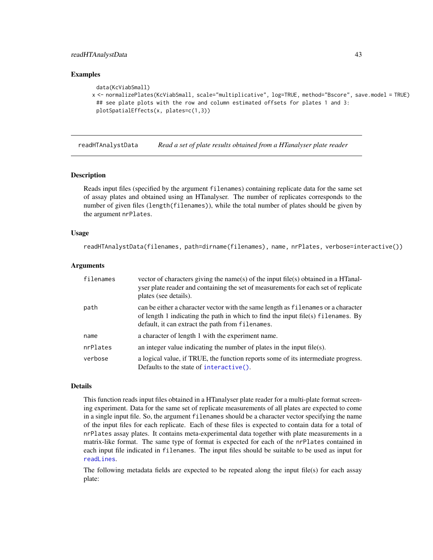# readHTAnalystData 43

## Examples

```
data(KcViabSmall)
x <- normalizePlates(KcViabSmall, scale="multiplicative", log=TRUE, method="Bscore", save.model = TRUE)
 ## see plate plots with the row and column estimated offsets for plates 1 and 3:
 plotSpatialEffects(x, plates=c(1,3))
```
<span id="page-42-0"></span>readHTAnalystData *Read a set of plate results obtained from a HTanalyser plate reader*

## Description

Reads input files (specified by the argument filenames) containing replicate data for the same set of assay plates and obtained using an HTanalyser. The number of replicates corresponds to the number of given files (length(filenames)), while the total number of plates should be given by the argument nrPlates.

## Usage

readHTAnalystData(filenames, path=dirname(filenames), name, nrPlates, verbose=interactive())

#### **Arguments**

| filenames | vector of characters giving the name(s) of the input file(s) obtained in a HTanal-<br>yser plate reader and containing the set of measurements for each set of replicate<br>plates (see details).                         |
|-----------|---------------------------------------------------------------------------------------------------------------------------------------------------------------------------------------------------------------------------|
| path      | can be either a character vector with the same length as filenames or a character<br>of length 1 indicating the path in which to find the input file(s) filenames. By<br>default, it can extract the path from filenames. |
| name      | a character of length 1 with the experiment name.                                                                                                                                                                         |
| nrPlates  | an integer value indicating the number of plates in the input file $(s)$ .                                                                                                                                                |
| verbose   | a logical value, if TRUE, the function reports some of its intermediate progress.<br>Defaults to the state of $interactive()$ .                                                                                           |

#### Details

This function reads input files obtained in a HTanalyser plate reader for a multi-plate format screening experiment. Data for the same set of replicate measurements of all plates are expected to come in a single input file. So, the argument filenames should be a character vector specifying the name of the input files for each replicate. Each of these files is expected to contain data for a total of nrPlates assay plates. It contains meta-experimental data together with plate measurements in a matrix-like format. The same type of format is expected for each of the nrPlates contained in each input file indicated in filenames. The input files should be suitable to be used as input for [readLines](#page-0-0).

The following metadata fields are expected to be repeated along the input file(s) for each assay plate: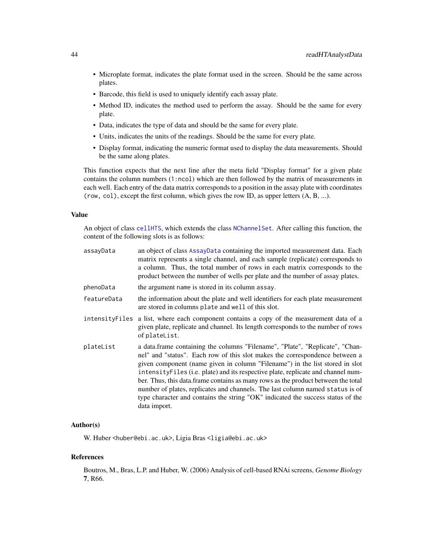- Microplate format, indicates the plate format used in the screen. Should be the same across plates.
- Barcode, this field is used to uniquely identify each assay plate.
- Method ID, indicates the method used to perform the assay. Should be the same for every plate.
- Data, indicates the type of data and should be the same for every plate.
- Units, indicates the units of the readings. Should be the same for every plate.
- Display format, indicating the numeric format used to display the data measurements. Should be the same along plates.

This function expects that the next line after the meta field "Display format" for a given plate contains the column numbers (1:ncol) which are then followed by the matrix of measurements in each well. Each entry of the data matrix corresponds to a position in the assay plate with coordinates (row, col), except the first column, which gives the row ID, as upper letters (A, B, ...).

# Value

An object of class [cellHTS](#page-8-0), which extends the class [NChannelSet](#page-0-0). After calling this function, the content of the following slots is as follows:

| assayData      | an object of class AssayData containing the imported measurement data. Each<br>matrix represents a single channel, and each sample (replicate) corresponds to<br>a column. Thus, the total number of rows in each matrix corresponds to the<br>product between the number of wells per plate and the number of assay plates.                                                                                                                                                                                                                                                                             |
|----------------|----------------------------------------------------------------------------------------------------------------------------------------------------------------------------------------------------------------------------------------------------------------------------------------------------------------------------------------------------------------------------------------------------------------------------------------------------------------------------------------------------------------------------------------------------------------------------------------------------------|
| phenoData      | the argument name is stored in its column assay.                                                                                                                                                                                                                                                                                                                                                                                                                                                                                                                                                         |
| featureData    | the information about the plate and well identifiers for each plate measurement<br>are stored in columns plate and well of this slot.                                                                                                                                                                                                                                                                                                                                                                                                                                                                    |
| intensityFiles | a list, where each component contains a copy of the measurement data of a<br>given plate, replicate and channel. Its length corresponds to the number of rows<br>of plateList.                                                                                                                                                                                                                                                                                                                                                                                                                           |
| plateList      | a data.frame containing the columns "Filename", "Plate", "Replicate", "Chan-<br>nel" and "status". Each row of this slot makes the correspondence between a<br>given component (name given in column "Filename") in the list stored in slot<br>intensityFiles (i.e. plate) and its respective plate, replicate and channel num-<br>ber. Thus, this data.frame contains as many rows as the product between the total<br>number of plates, replicates and channels. The last column named status is of<br>type character and contains the string "OK" indicated the success status of the<br>data import. |

# Author(s)

W. Huber <huber@ebi.ac.uk>, Ligia Bras <ligia@ebi.ac.uk>

#### References

Boutros, M., Bras, L.P. and Huber, W. (2006) Analysis of cell-based RNAi screens, *Genome Biology* 7, R66.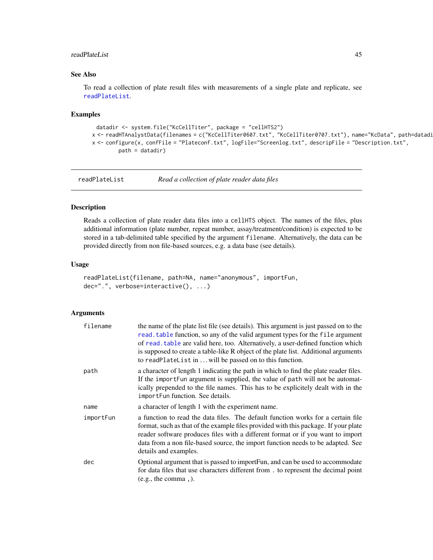#### readPlateList 45

# See Also

To read a collection of plate result files with measurements of a single plate and replicate, see [readPlateList](#page-44-0).

## Examples

```
datadir <- system.file("KcCellTiter", package = "cellHTS2")
x <- readHTAnalystData(filenames = c("KcCellTiter0607.txt", "KcCellTiter0707.txt"), name="KcData", path=datadi
x <- configure(x, confFile = "Plateconf.txt", logFile="Screenlog.txt", descripFile = "Description.txt",
        path = datadir)
```
<span id="page-44-0"></span>readPlateList *Read a collection of plate reader data files*

# Description

Reads a collection of plate reader data files into a cellHTS object. The names of the files, plus additional information (plate number, repeat number, assay/treatment/condition) is expected to be stored in a tab-delimited table specified by the argument filename. Alternatively, the data can be provided directly from non file-based sources, e.g. a data base (see details).

#### Usage

```
readPlateList(filename, path=NA, name="anonymous", importFun,
dec=".", verbose=interactive(), ...)
```
## Arguments

| filename  | the name of the plate list file (see details). This argument is just passed on to the<br>read. table function, so any of the valid argument types for the file argument<br>of read. table are valid here, too. Alternatively, a user-defined function which<br>is supposed to create a table-like R object of the plate list. Additional arguments<br>to readPlateList in  will be passed on to this function. |
|-----------|----------------------------------------------------------------------------------------------------------------------------------------------------------------------------------------------------------------------------------------------------------------------------------------------------------------------------------------------------------------------------------------------------------------|
| path      | a character of length 1 indicating the path in which to find the plate reader files.<br>If the import Fun argument is supplied, the value of path will not be automat-<br>ically prepended to the file names. This has to be explicitely dealt with in the<br>import Fun function. See details.                                                                                                                |
| name      | a character of length 1 with the experiment name.                                                                                                                                                                                                                                                                                                                                                              |
| importFun | a function to read the data files. The default function works for a certain file<br>format, such as that of the example files provided with this package. If your plate<br>reader software produces files with a different format or if you want to import<br>data from a non file-based source, the import function needs to be adapted. See<br>details and examples.                                         |
| dec       | Optional argument that is passed to importFun, and can be used to accommodate<br>for data files that use characters different from. to represent the decimal point<br>(e.g., the comma, ).                                                                                                                                                                                                                     |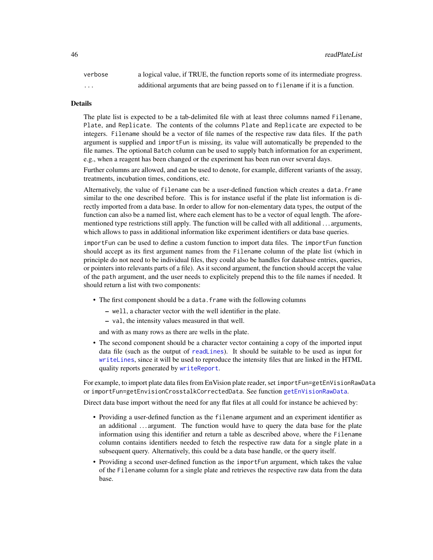verbose a logical value, if TRUE, the function reports some of its intermediate progress. ... additional arguments that are being passed on to filename if it is a function.

#### Details

The plate list is expected to be a tab-delimited file with at least three columns named Filename, Plate, and Replicate. The contents of the columns Plate and Replicate are expected to be integers. Filename should be a vector of file names of the respective raw data files. If the path argument is supplied and importFun is missing, its value will automatically be prepended to the file names. The optional Batch column can be used to supply batch information for an experiment, e.g., when a reagent has been changed or the experiment has been run over several days.

Further columns are allowed, and can be used to denote, for example, different variants of the assay, treatments, incubation times, conditions, etc.

Alternatively, the value of filename can be a user-defined function which creates a data.frame similar to the one described before. This is for instance useful if the plate list information is directly imported from a data base. In order to allow for non-elementary data types, the output of the function can also be a named list, where each element has to be a vector of equal length. The aforementioned type restrictions still apply. The function will be called with all additional . . . arguments, which allows to pass in additional information like experiment identifiers or data base queries.

importFun can be used to define a custom function to import data files. The importFun function should accept as its first argument names from the Filename column of the plate list (which in principle do not need to be individual files, they could also be handles for database entries, queries, or pointers into relevants parts of a file). As it second argument, the function should accept the value of the path argument, and the user needs to explicitely prepend this to the file names if needed. It should return a list with two components:

- The first component should be a data. frame with the following columns
	- well, a character vector with the well identifier in the plate.
	- val, the intensity values measured in that well.

and with as many rows as there are wells in the plate.

• The second component should be a character vector containing a copy of the imported input data file (such as the output of [readLines](#page-0-0)). It should be suitable to be used as input for [writeLines](#page-0-0), since it will be used to reproduce the intensity files that are linked in the HTML quality reports generated by [writeReport](#page-68-0).

For example, to import plate data files from EnVision plate reader, set importFun=getEnVisionRawData or importFun=getEnvisionCrosstalkCorrectedData. See function [getEnVisionRawData](#page-23-0).

Direct data base import without the need for any flat files at all could for instance be achieved by:

- Providing a user-defined function as the filename argument and an experiment identifier as an additional ... argument. The function would have to query the data base for the plate information using this identifier and return a table as described above, where the Filename column contains identifiers needed to fetch the respective raw data for a single plate in a subsequent query. Alternatively, this could be a data base handle, or the query itself.
- Providing a second user-defined function as the importFun argument, which takes the value of the Filename column for a single plate and retrieves the respective raw data from the data base.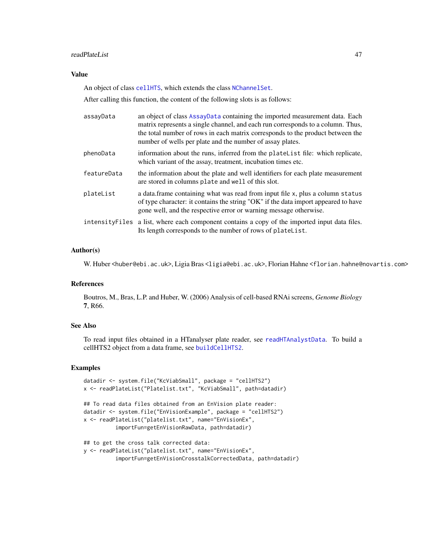## readPlateList 47

# Value

An object of class [cellHTS](#page-8-0), which extends the class [NChannelSet](#page-0-0).

After calling this function, the content of the following slots is as follows:

| assayData   | an object of class AssayData containing the imported measurement data. Each<br>matrix represents a single channel, and each run corresponds to a column. Thus,<br>the total number of rows in each matrix corresponds to the product between the<br>number of wells per plate and the number of assay plates. |
|-------------|---------------------------------------------------------------------------------------------------------------------------------------------------------------------------------------------------------------------------------------------------------------------------------------------------------------|
| phenoData   | information about the runs, inferred from the platelist file: which replicate,<br>which variant of the assay, treatment, incubation times etc.                                                                                                                                                                |
| featureData | the information about the plate and well identifiers for each plate measurement<br>are stored in columns plate and well of this slot.                                                                                                                                                                         |
| plateList   | a data.frame containing what was read from input file x, plus a column status<br>of type character: it contains the string "OK" if the data import appeared to have<br>gone well, and the respective error or warning message otherwise.                                                                      |
|             | intensity Files a list, where each component contains a copy of the imported input data files.<br>Its length corresponds to the number of rows of platelist.                                                                                                                                                  |

## Author(s)

W. Huber <huber@ebi.ac.uk>, Ligia Bras <ligia@ebi.ac.uk>, Florian Hahne <florian.hahne@novartis.com>

# References

Boutros, M., Bras, L.P. and Huber, W. (2006) Analysis of cell-based RNAi screens, *Genome Biology* 7, R66.

# See Also

To read input files obtained in a HTanalyser plate reader, see [readHTAnalystData](#page-42-0). To build a cellHTS2 object from a data frame, see [buildCellHTS2](#page-7-0).

# Examples

```
datadir <- system.file("KcViabSmall", package = "cellHTS2")
x <- readPlateList("Platelist.txt", "KcViabSmall", path=datadir)
## To read data files obtained from an EnVision plate reader:
datadir <- system.file("EnVisionExample", package = "cellHTS2")
x <- readPlateList("platelist.txt", name="EnVisionEx",
          importFun=getEnVisionRawData, path=datadir)
## to get the cross talk corrected data:
y <- readPlateList("platelist.txt", name="EnVisionEx",
```

```
importFun=getEnVisionCrosstalkCorrectedData, path=datadir)
```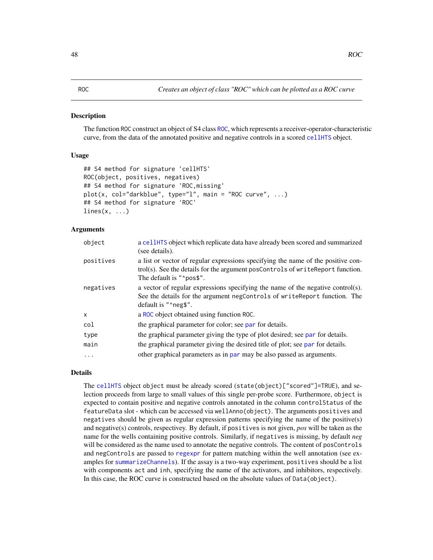# Description

The function ROC construct an object of S4 class [ROC](#page-48-0), which represents a receiver-operator-characteristic curve, from the data of the annotated positive and negative controls in a scored [cellHTS](#page-8-0) object.

# Usage

```
## S4 method for signature 'cellHTS'
ROC(object, positives, negatives)
## S4 method for signature 'ROC,missing'
plot(x, col="darkblue", type="l", main = "ROC curve", ...)
## S4 method for signature 'ROC'
lines(x, \ldots)
```
## Arguments

| object       | a cellHTS object which replicate data have already been scored and summarized<br>(see details).                                                                                                 |
|--------------|-------------------------------------------------------------------------------------------------------------------------------------------------------------------------------------------------|
| positives    | a list or vector of regular expressions specifying the name of the positive con-<br>trol(s). See the details for the argument posControls of writeReport function.<br>The default is " "pos\$". |
| negatives    | a vector of regular expressions specifying the name of the negative control(s).<br>See the details for the argument negControls of writeReport function. The<br>default is " neg\$".            |
| $\mathsf{x}$ | a ROC object obtained using function ROC.                                                                                                                                                       |
| col          | the graphical parameter for color; see par for details.                                                                                                                                         |
| type         | the graphical parameter giving the type of plot desired; see par for details.                                                                                                                   |
| main         | the graphical parameter giving the desired title of plot; see par for details.                                                                                                                  |
| $\ddots$     | other graphical parameters as in par may be also passed as arguments.                                                                                                                           |
|              |                                                                                                                                                                                                 |

# Details

The [cellHTS](#page-8-0) object object must be already scored (state(object)["scored"]=TRUE), and selection proceeds from large to small values of this single per-probe score. Furthermore, object is expected to contain positive and negative controls annotated in the column controlStatus of the featureData slot - which can be accessed via wellAnno(object). The arguments positives and negatives should be given as regular expression patterns specifying the name of the positive(s) and negative(s) controls, respectivey. By default, if positives is not given, *pos* will be taken as the name for the wells containing positive controls. Similarly, if negatives is missing, by default *neg* will be considered as the name used to annotate the negative controls. The content of posControls and negControls are passed to [regexpr](#page-0-0) for pattern matching within the well annotation (see examples for [summarizeChannels](#page-61-0)). If the assay is a two-way experiment, positives should be a list with components act and inh, specifying the name of the activators, and inhibitors, respectively. In this case, the ROC curve is constructed based on the absolute values of Data(object).

#### <span id="page-47-0"></span>ROC *Creates an object of class "ROC" which can be plotted as a ROC curve*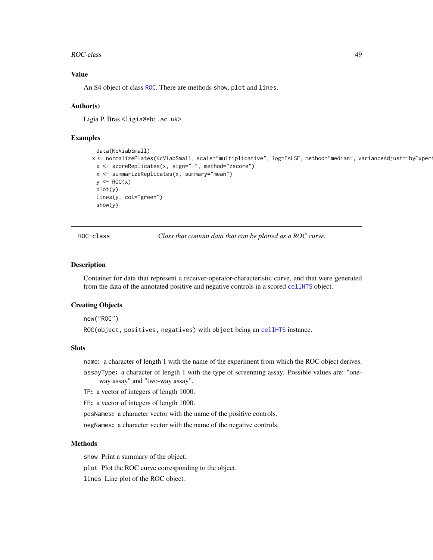### ROC-class 49

# Value

An S4 object of class [ROC](#page-48-0). There are methods show, plot and lines.

#### Author(s)

Ligia P. Bras <ligia@ebi.ac.uk>

# Examples

```
data(KcViabSmall)
x <- normalizePlates(KcViabSmall, scale="multiplicative", log=FALSE, method="median", varianceAdjust="byExper:
 x <- scoreReplicates(x, sign="-", method="zscore")
 x <- summarizeReplicates(x, summary="mean")
 y \leftarrow \text{ROC}(x)plot(y)
 lines(y, col="green")
 show(y)
```
ROC-class *Class that contain data that can be plotted as a ROC curve.*

#### Description

Container for data that represent a receiver-operator-characteristic curve, and that were generated from the data of the annotated positive and negative controls in a scored [cellHTS](#page-8-0) object.

# Creating Objects

new("ROC")

ROC(object, positives, negatives) with object being an [cellHTS](#page-8-0) instance.

# Slots

name: a character of length 1 with the name of the experiment from which the ROC object derives.

assayType: a character of length 1 with the type of screenning assay. Possible values are: "oneway assay" and "two-way assay".

TP: a vector of integers of length 1000.

FP: a vector of integers of length 1000.

posNames: a character vector with the name of the positive controls.

negNames: a character vector with the name of the negative controls.

## Methods

show Print a summary of the object.

plot Plot the ROC curve corresponding to the object.

lines Line plot of the ROC object.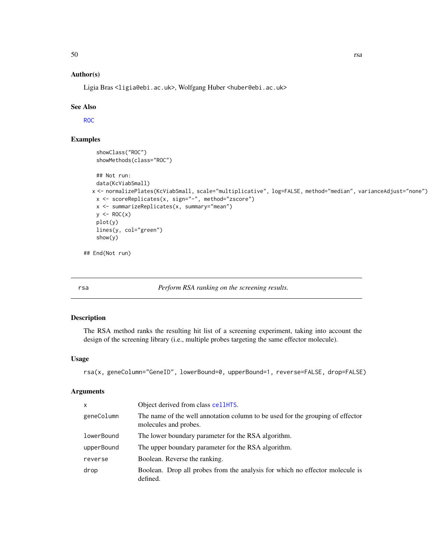# Author(s)

Ligia Bras <ligia@ebi.ac.uk>, Wolfgang Huber <huber@ebi.ac.uk>

# See Also

[ROC](#page-47-0)

# Examples

```
showClass("ROC")
 showMethods(class="ROC")
 ## Not run:
 data(KcViabSmall)
x <- normalizePlates(KcViabSmall, scale="multiplicative", log=FALSE, method="median", varianceAdjust="none")
 x <- scoreReplicates(x, sign="-", method="zscore")
 x <- summarizeReplicates(x, summary="mean")
 y \leftarrow \text{ROC}(x)plot(y)
 lines(y, col="green")
 show(y)
```
## End(Not run)

rsa *Perform RSA ranking on the screening results.*

# Description

The RSA method ranks the resulting hit list of a screening experiment, taking into account the design of the screening library (i.e., multiple probes targeting the same effector molecule).

# Usage

rsa(x, geneColumn="GeneID", lowerBound=0, upperBound=1, reverse=FALSE, drop=FALSE)

# Arguments

| X          | Object derived from class cellHTS.                                                                      |
|------------|---------------------------------------------------------------------------------------------------------|
| geneColumn | The name of the well annotation column to be used for the grouping of effector<br>molecules and probes. |
| lowerBound | The lower boundary parameter for the RSA algorithm.                                                     |
| upperBound | The upper boundary parameter for the RSA algorithm.                                                     |
| reverse    | Boolean. Reverse the ranking.                                                                           |
| drop       | Boolean. Drop all probes from the analysis for which no effector molecule is<br>defined.                |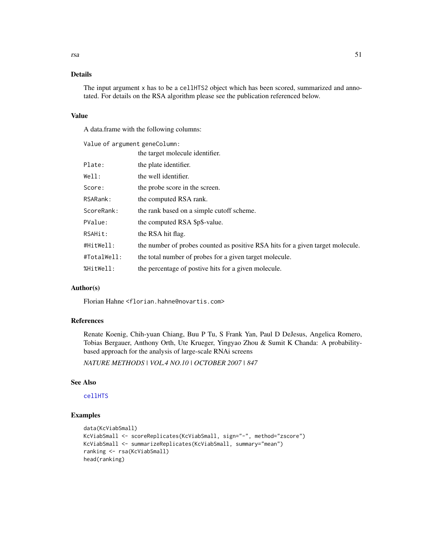# Details

The input argument x has to be a cellHTS2 object which has been scored, summarized and annotated. For details on the RSA algorithm please see the publication referenced below.

# Value

A data.frame with the following columns:

Value of argument geneColumn: the target molecule identifier.

| Plate:      | the plate identifier.                                                          |
|-------------|--------------------------------------------------------------------------------|
| Well:       | the well identifier.                                                           |
| Score:      | the probe score in the screen.                                                 |
| RSARank:    | the computed RSA rank.                                                         |
| ScoreRank:  | the rank based on a simple cutoff scheme.                                      |
| PValue:     | the computed RSA \$p\$-value.                                                  |
| RSAHit:     | the RSA hit flag.                                                              |
| #HitWell:   | the number of probes counted as positive RSA hits for a given target molecule. |
| #TotalWell: | the total number of probes for a given target molecule.                        |
| %HitWell:   | the percentage of postive hits for a given molecule.                           |
|             |                                                                                |

# Author(s)

Florian Hahne <florian.hahne@novartis.com>

# References

Renate Koenig, Chih-yuan Chiang, Buu P Tu, S Frank Yan, Paul D DeJesus, Angelica Romero, Tobias Bergauer, Anthony Orth, Ute Krueger, Yingyao Zhou & Sumit K Chanda: A probabilitybased approach for the analysis of large-scale RNAi screens

*NATURE METHODS | VOL.4 NO.10 | OCTOBER 2007 | 847*

## See Also

# [cellHTS](#page-8-0)

# Examples

```
data(KcViabSmall)
KcViabSmall <- scoreReplicates(KcViabSmall, sign="-", method="zscore")
KcViabSmall <- summarizeReplicates(KcViabSmall, summary="mean")
ranking <- rsa(KcViabSmall)
head(ranking)
```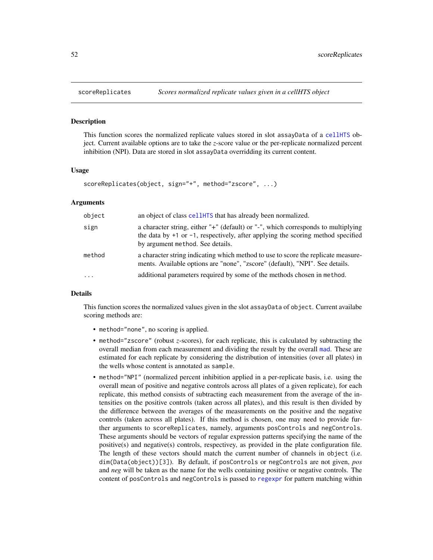## Description

This function scores the normalized replicate values stored in slot assayData of a [cellHTS](#page-8-0) object. Current available options are to take the *z*-score value or the per-replicate normalized percent inhibition (NPI). Data are stored in slot assayData overridding its current content.

# Usage

```
scoreReplicates(object, sign="+", method="zscore", ...)
```
## Arguments

| object   | an object of class cellet TS that has already been normalized.                                                                                                                                                |
|----------|---------------------------------------------------------------------------------------------------------------------------------------------------------------------------------------------------------------|
| sign     | a character string, either "+" (default) or "-", which corresponds to multiplying<br>the data by $+1$ or $-1$ , respectively, after applying the scoring method specified<br>by argument method. See details. |
| method   | a character string indicating which method to use to score the replicate measure-<br>ments. Available options are "none", "zscore" (default), "NPI". See details.                                             |
| $\cdots$ | additional parameters required by some of the methods chosen in method.                                                                                                                                       |

### Details

This function scores the normalized values given in the slot assayData of object. Current availabe scoring methods are:

- method="none", no scoring is applied.
- method="zscore" (robust *z*-scores), for each replicate, this is calculated by subtracting the overall median from each measurement and dividing the result by the overall [mad](#page-0-0). These are estimated for each replicate by considering the distribution of intensities (over all plates) in the wells whose content is annotated as sample.
- method="NPI" (normalized percent inhibition applied in a per-replicate basis, i.e. using the overall mean of positive and negative controls across all plates of a given replicate), for each replicate, this method consists of subtracting each measurement from the average of the intensities on the positive controls (taken across all plates), and this result is then divided by the difference between the averages of the measurements on the positive and the negative controls (taken across all plates). If this method is chosen, one may need to provide further arguments to scoreReplicates, namely, arguments posControls and negControls. These arguments should be vectors of regular expression patterns specifying the name of the positive(s) and negative(s) controls, respectivey, as provided in the plate configuration file. The length of these vectors should match the current number of channels in object (i.e. dim(Data(object))[3]). By default, if posControls or negControls are not given, *pos* and *neg* will be taken as the name for the wells containing positive or negative controls. The content of posControls and negControls is passed to [regexpr](#page-0-0) for pattern matching within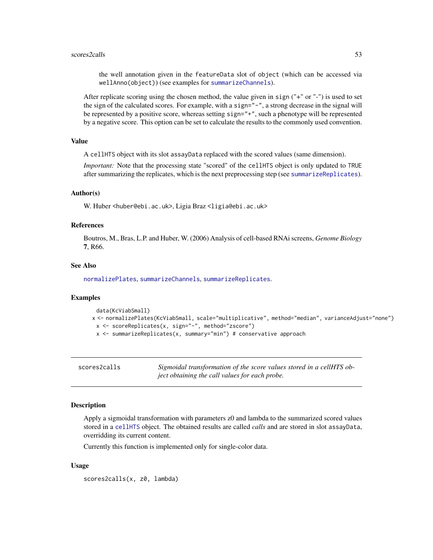#### scores2calls 53

the well annotation given in the featureData slot of object (which can be accessed via wellAnno(object)) (see examples for [summarizeChannels](#page-61-0)).

After replicate scoring using the chosen method, the value given in sign ("+" or "-") is used to set the sign of the calculated scores. For example, with a sign="-", a strong decrease in the signal will be represented by a positive score, whereas setting sign="+", such a phenotype will be represented by a negative score. This option can be set to calculate the results to the commonly used convention.

# Value

A cellHTS object with its slot assayData replaced with the scored values (same dimension).

*Important:* Note that the processing state "scored" of the cellHTS object is only updated to TRUE after summarizing the replicates, which is the next preprocessing step (see [summarizeReplicates](#page-63-0)).

## Author(s)

W. Huber <huber@ebi.ac.uk>, Ligia Braz <ligia@ebi.ac.uk>

# References

Boutros, M., Bras, L.P. and Huber, W. (2006) Analysis of cell-based RNAi screens, *Genome Biology* 7, R66.

## See Also

[normalizePlates](#page-34-0), [summarizeChannels](#page-61-0), [summarizeReplicates](#page-63-0).

#### Examples

```
data(KcViabSmall)
x <- normalizePlates(KcViabSmall, scale="multiplicative", method="median", varianceAdjust="none")
 x <- scoreReplicates(x, sign="-", method="zscore")
 x <- summarizeReplicates(x, summary="min") # conservative approach
```

| scores2calls | Sigmoidal transformation of the score values stored in a cellHTS ob- |
|--------------|----------------------------------------------------------------------|
|              | ject obtaining the call values for each probe.                       |

#### Description

Apply a sigmoidal transformation with parameters z0 and lambda to the summarized scored values stored in a [cellHTS](#page-8-0) object. The obtained results are called *calls* and are stored in slot assayData, overridding its current content.

Currently this function is implemented only for single-color data.

# Usage

scores2calls(x, z0, lambda)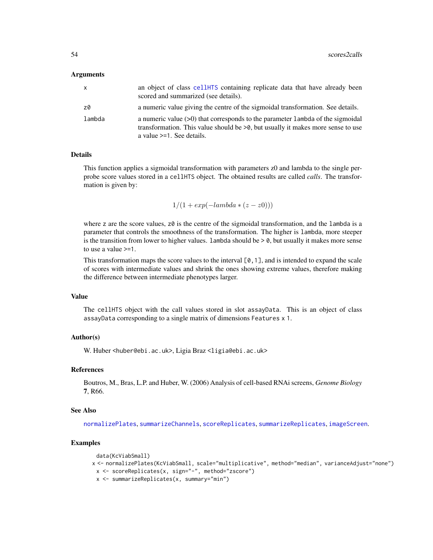## Arguments

| x      | an object of class cellently containing replicate data that have already been<br>scored and summarized (see details).                                                                                   |
|--------|---------------------------------------------------------------------------------------------------------------------------------------------------------------------------------------------------------|
| z0     | a numeric value giving the centre of the sigmoidal transformation. See details.                                                                                                                         |
| lambda | a numeric value $(>0)$ that corresponds to the parameter 1 ambda of the sigmoidal<br>transformation. This value should be $>0$ , but usually it makes more sense to use<br>a value $>=1$ . See details. |

#### Details

This function applies a sigmoidal transformation with parameters z0 and lambda to the single perprobe score values stored in a cellHTS object. The obtained results are called *calls*. The transformation is given by:

 $1/(1 + exp(-lambda * (z - z0)))$ 

where z are the score values,  $z\theta$  is the centre of the sigmoidal transformation, and the lambda is a parameter that controls the smoothness of the transformation. The higher is lambda, more steeper is the transition from lower to higher values. Lambda should be  $> 0$ , but usually it makes more sense to use a value >=1.

This transformation maps the score values to the interval  $[0,1]$ , and is intended to expand the scale of scores with intermediate values and shrink the ones showing extreme values, therefore making the difference between intermediate phenotypes larger.

# Value

The cellHTS object with the call values stored in slot assayData. This is an object of class assayData corresponding to a single matrix of dimensions Features x 1.

# Author(s)

W. Huber <huber@ebi.ac.uk>, Ligia Braz <ligia@ebi.ac.uk>

#### References

Boutros, M., Bras, L.P. and Huber, W. (2006) Analysis of cell-based RNAi screens, *Genome Biology* 7, R66.

#### See Also

[normalizePlates](#page-34-0), [summarizeChannels](#page-61-0), [scoreReplicates](#page-51-0), [summarizeReplicates](#page-63-0), [imageScreen](#page-31-0).

# Examples

```
data(KcViabSmall)
x <- normalizePlates(KcViabSmall, scale="multiplicative", method="median", varianceAdjust="none")
 x <- scoreReplicates(x, sign="-", method="zscore")
 x <- summarizeReplicates(x, summary="min")
```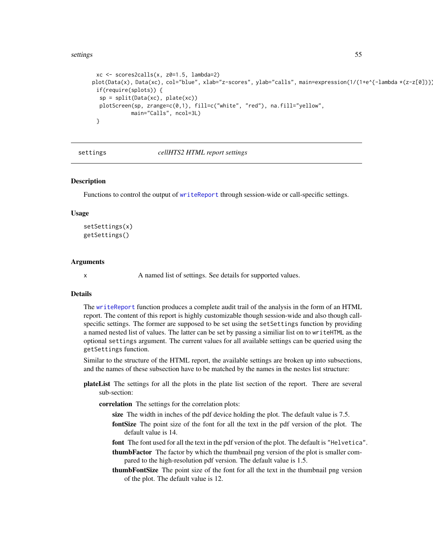#### settings 55

```
xc <- scores2calls(x, z0=1.5, lambda=2)
plot(Data(x), Data(xc), col="blue", xlab="z-scores", ylab="calls", main=expression(1/(1+e^{-lambda *(z-z[0])}
 if(require(splots)) {
  sp = split(Data(xc), plate(xc))plotScreen(sp, zrange=c(0,1), fill=c("white", "red"), na.fill="yellow",
            main="Calls", ncol=3L)
 }
```
<span id="page-54-0"></span>settings *cellHTS2 HTML report settings*

#### <span id="page-54-1"></span>Description

Functions to control the output of [writeReport](#page-68-0) through session-wide or call-specific settings.

## Usage

```
setSettings(x)
getSettings()
```
## Arguments

x A named list of settings. See details for supported values.

### **Details**

The [writeReport](#page-68-0) function produces a complete audit trail of the analysis in the form of an HTML report. The content of this report is highly customizable though session-wide and also though callspecific settings. The former are supposed to be set using the setSettings function by providing a named nested list of values. The latter can be set by passing a similiar list on to writeHTML as the optional settings argument. The current values for all available settings can be queried using the getSettings function.

Similar to the structure of the HTML report, the available settings are broken up into subsections, and the names of these subsection have to be matched by the names in the nestes list structure:

- plateList The settings for all the plots in the plate list section of the report. There are several sub-section:
	- correlation The settings for the correlation plots:
		- size The width in inches of the pdf device holding the plot. The default value is 7.5.
		- fontSize The point size of the font for all the text in the pdf version of the plot. The default value is 14.
		- font The font used for all the text in the pdf version of the plot. The default is "Helvetica".
		- thumbFactor The factor by which the thumbnail png version of the plot is smaller compared to the high-resolution pdf version. The default value is 1.5.
		- thumbFontSize The point size of the font for all the text in the thumbnail png version of the plot. The default value is 12.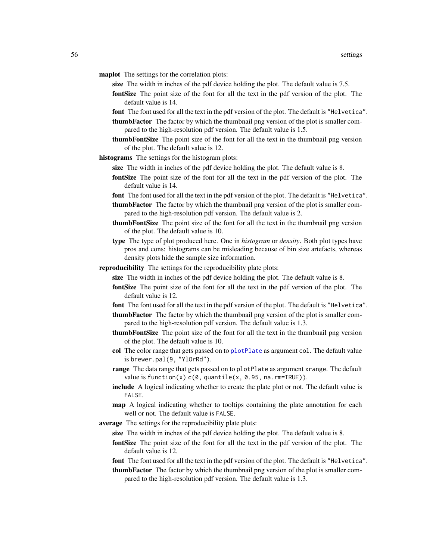- maplot The settings for the correlation plots:
	- size The width in inches of the pdf device holding the plot. The default value is 7.5.
	- fontSize The point size of the font for all the text in the pdf version of the plot. The default value is 14.
	- font The font used for all the text in the pdf version of the plot. The default is "Helvetica".
	- thumbFactor The factor by which the thumbnail png version of the plot is smaller compared to the high-resolution pdf version. The default value is 1.5.
	- thumbFontSize The point size of the font for all the text in the thumbnail png version of the plot. The default value is 12.
- histograms The settings for the histogram plots:
	- size The width in inches of the pdf device holding the plot. The default value is 8.
	- fontSize The point size of the font for all the text in the pdf version of the plot. The default value is 14.
	- font The font used for all the text in the pdf version of the plot. The default is "Helvetica".
	- thumbFactor The factor by which the thumbnail png version of the plot is smaller compared to the high-resolution pdf version. The default value is 2.
	- thumbFontSize The point size of the font for all the text in the thumbnail png version of the plot. The default value is 10.
	- type The type of plot produced here. One in *histogram* or *density*. Both plot types have pros and cons: histograms can be misleading because of bin size artefacts, whereas density plots hide the sample size information.
- reproducibility The settings for the reproducibility plate plots:
	- size The width in inches of the pdf device holding the plot. The default value is 8.
	- fontSize The point size of the font for all the text in the pdf version of the plot. The default value is 12.
	- font The font used for all the text in the pdf version of the plot. The default is "Helvetica".
	- thumbFactor The factor by which the thumbnail png version of the plot is smaller compared to the high-resolution pdf version. The default value is 1.3.
	- thumbFontSize The point size of the font for all the text in the thumbnail png version of the plot. The default value is 10.
	- col The color range that gets passed on to [plotPlate](#page-0-0) as argument col. The default value is brewer.pal(9, "YlOrRd").
	- range The data range that gets passed on to plotPlate as argument xrange. The default value is function(x)  $c(\emptyset,$  quantile(x,  $\emptyset$ .95, na.rm=TRUE)).
	- include A logical indicating whether to create the plate plot or not. The default value is FALSE.
	- map A logical indicating whether to tooltips containing the plate annotation for each well or not. The default value is FALSE.
- average The settings for the reproducibility plate plots:
	- size The width in inches of the pdf device holding the plot. The default value is 8.
	- fontSize The point size of the font for all the text in the pdf version of the plot. The default value is 12.
	- font The font used for all the text in the pdf version of the plot. The default is "Helvetica".
	- thumbFactor The factor by which the thumbnail png version of the plot is smaller compared to the high-resolution pdf version. The default value is 1.3.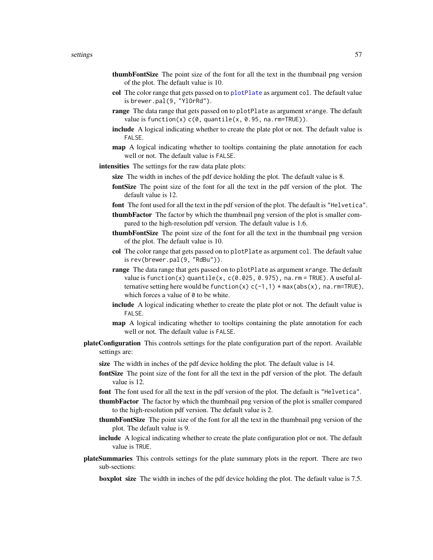#### settings 57

- thumbFontSize The point size of the font for all the text in the thumbnail png version of the plot. The default value is 10.
- col The color range that gets passed on to [plotPlate](#page-0-0) as argument col. The default value is brewer.pal(9, "YlOrRd").
- range The data range that gets passed on to plotPlate as argument xrange. The default value is function(x)  $c(\theta)$ , quantile(x,  $\theta$ .95, na.rm=TRUE)).
- include A logical indicating whether to create the plate plot or not. The default value is FALSE.
- map A logical indicating whether to tooltips containing the plate annotation for each well or not. The default value is FALSE.
- intensities The settings for the raw data plate plots:
	- size The width in inches of the pdf device holding the plot. The default value is 8.
	- fontSize The point size of the font for all the text in the pdf version of the plot. The default value is 12.
	- font The font used for all the text in the pdf version of the plot. The default is "Helvetica".
	- thumbFactor The factor by which the thumbnail png version of the plot is smaller compared to the high-resolution pdf version. The default value is 1.6.
	- thumbFontSize The point size of the font for all the text in the thumbnail png version of the plot. The default value is 10.
	- col The color range that gets passed on to plotPlate as argument col. The default value is rev(brewer.pal(9, "RdBu")).
	- range The data range that gets passed on to plotPlate as argument xrange. The default value is function(x) quantile(x, c(0.025, 0.975), na.rm = TRUE). A useful alternative setting here would be function(x)  $c(-1,1)$  \* max(abs(x), na.rm=TRUE), which forces a value of  $\theta$  to be white.
	- include A logical indicating whether to create the plate plot or not. The default value is FALSE.
	- map A logical indicating whether to tooltips containing the plate annotation for each well or not. The default value is FALSE.
- plateConfiguration This controls settings for the plate configuration part of the report. Available settings are:
	- size The width in inches of the pdf device holding the plot. The default value is 14.
	- fontSize The point size of the font for all the text in the pdf version of the plot. The default value is 12.
	- font The font used for all the text in the pdf version of the plot. The default is "Helvetica".
	- thumbFactor The factor by which the thumbnail png version of the plot is smaller compared to the high-resolution pdf version. The default value is 2.
	- thumbFontSize The point size of the font for all the text in the thumbnail png version of the plot. The default value is 9.
	- include A logical indicating whether to create the plate configuration plot or not. The default value is TRUE.
- plateSummaries This controls settings for the plate summary plots in the report. There are two sub-sections:
	- boxplot size The width in inches of the pdf device holding the plot. The default value is 7.5.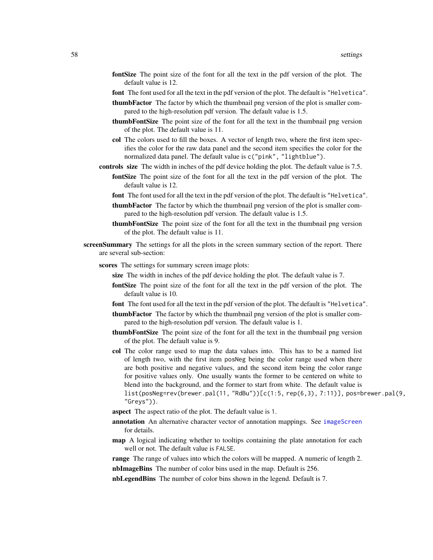- fontSize The point size of the font for all the text in the pdf version of the plot. The default value is 12.
- font The font used for all the text in the pdf version of the plot. The default is "Helvetica".
- thumbFactor The factor by which the thumbnail png version of the plot is smaller compared to the high-resolution pdf version. The default value is 1.5.
- thumbFontSize The point size of the font for all the text in the thumbnail png version of the plot. The default value is 11.
- col The colors used to fill the boxes. A vector of length two, where the first item specifies the color for the raw data panel and the second item specifies the color for the normalized data panel. The default value is c("pink", "lightblue").
- controls size The width in inches of the pdf device holding the plot. The default value is 7.5.
	- fontSize The point size of the font for all the text in the pdf version of the plot. The default value is 12.
		- font The font used for all the text in the pdf version of the plot. The default is "Helvetica".
		- thumbFactor The factor by which the thumbnail png version of the plot is smaller compared to the high-resolution pdf version. The default value is 1.5.
		- thumbFontSize The point size of the font for all the text in the thumbnail png version of the plot. The default value is 11.
- screenSummary The settings for all the plots in the screen summary section of the report. There are several sub-section:
	- scores The settings for summary screen image plots:
		- size The width in inches of the pdf device holding the plot. The default value is 7.
		- fontSize The point size of the font for all the text in the pdf version of the plot. The default value is 10.
		- font The font used for all the text in the pdf version of the plot. The default is "Helvetica".
		- thumbFactor The factor by which the thumbnail png version of the plot is smaller compared to the high-resolution pdf version. The default value is 1.
		- thumbFontSize The point size of the font for all the text in the thumbnail png version of the plot. The default value is 9.
		- col The color range used to map the data values into. This has to be a named list of length two, with the first item posNeg being the color range used when there are both positive and negative values, and the second item being the color range for positive values only. One usually wants the former to be centered on white to blend into the background, and the former to start from white. The default value is list(posNeg=rev(brewer.pal(11, "RdBu"))[c(1:5, rep(6,3), 7:11)], pos=brewer.pal(9, "Greys")).
		- aspect The aspect ratio of the plot. The default value is 1.
		- annotation An alternative character vector of annotation mappings. See [imageScreen](#page-31-0) for details.
		- map A logical indicating whether to tooltips containing the plate annotation for each well or not. The default value is FALSE.

range The range of values into which the colors will be mapped. A numeric of length 2.

nbImageBins The number of color bins used in the map. Default is 256.

nbLegendBins The number of color bins shown in the legend. Default is 7.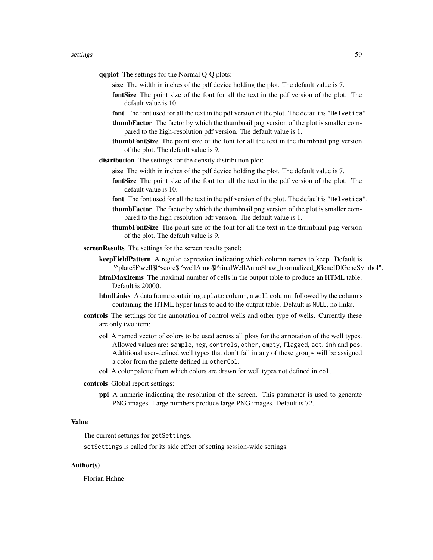- qqplot The settings for the Normal Q-Q plots:
	- size The width in inches of the pdf device holding the plot. The default value is 7.
	- fontSize The point size of the font for all the text in the pdf version of the plot. The default value is 10.
	- font The font used for all the text in the pdf version of the plot. The default is "Helvetica".
	- thumbFactor The factor by which the thumbnail png version of the plot is smaller compared to the high-resolution pdf version. The default value is 1.
	- thumbFontSize The point size of the font for all the text in the thumbnail png version of the plot. The default value is 9.
- distribution The settings for the density distribution plot:
	- size The width in inches of the pdf device holding the plot. The default value is 7.
	- fontSize The point size of the font for all the text in the pdf version of the plot. The default value is 10.
	- font The font used for all the text in the pdf version of the plot. The default is "Helvetica".
	- thumbFactor The factor by which the thumbnail png version of the plot is smaller compared to the high-resolution pdf version. The default value is 1.
	- thumbFontSize The point size of the font for all the text in the thumbnail png version of the plot. The default value is 9.

screenResults The settings for the screen results panel:

- keepFieldPattern A regular expression indicating which column names to keep. Default is "^plate\$|^well\$|^score\$|^wellAnno\$|^finalWellAnno\$|raw\_|normalized\_|GeneID|GeneSymbol".
- htmlMaxItems The maximal number of cells in the output table to produce an HTML table. Default is 20000.
- htmlLinks A data frame containing a plate column, a well column, followed by the columns containing the HTML hyper links to add to the output table. Default is NULL, no links.
- controls The settings for the annotation of control wells and other type of wells. Currently these are only two item:
	- col A named vector of colors to be used across all plots for the annotation of the well types. Allowed values are: sample, neg, controls, other, empty, flagged, act, inh and pos. Additional user-defined well types that don't fall in any of these groups will be assigned a color from the palette defined in otherCol.
	- col A color palette from which colors are drawn for well types not defined in col.
- controls Global report settings:
	- ppi A numeric indicating the resolution of the screen. This parameter is used to generate PNG images. Large numbers produce large PNG images. Default is 72.

## Value

The current settings for getSettings.

setSettings is called for its side effect of setting session-wide settings.

# Author(s)

Florian Hahne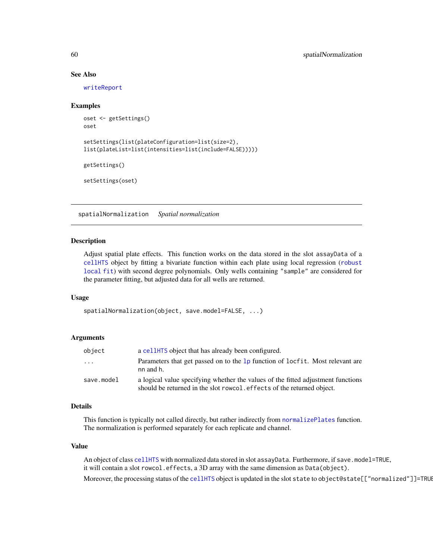## See Also

[writeReport](#page-68-0)

# Examples

```
oset <- getSettings()
oset
setSettings(list(plateConfiguration=list(size=2),
list(plateList=list(intensities=list(include=FALSE)))))
getSettings()
```
setSettings(oset)

<span id="page-59-0"></span>spatialNormalization *Spatial normalization*

# Description

Adjust spatial plate effects. This function works on the data stored in the slot assayData of a [cellHTS](#page-8-0) object by fitting a bivariate function within each plate using local regression ([robust](#page-0-0) [local fit](#page-0-0)) with second degree polynomials. Only wells containing "sample" are considered for the parameter fitting, but adjusted data for all wells are returned.

#### Usage

```
spatialNormalization(object, save.model=FALSE, ...)
```
# Arguments

| object                  | a cellet a cellet that has already been configured.                                                                                                        |  |
|-------------------------|------------------------------------------------------------------------------------------------------------------------------------------------------------|--|
| $\cdot$ $\cdot$ $\cdot$ | Parameters that get passed on to the 1p function of locfit. Most relevant are<br>nn and h.                                                                 |  |
| save.model              | a logical value specifying whether the values of the fitted adjustment functions<br>should be returned in the slot rowcol. effects of the returned object. |  |

#### Details

This function is typically not called directly, but rather indirectly from [normalizePlates](#page-34-0) function. The normalization is performed separately for each replicate and channel.

## Value

An object of class [cellHTS](#page-8-0) with normalized data stored in slot assayData. Furthermore, if save.model=TRUE, it will contain a slot rowcol.effects, a 3D array with the same dimension as Data(object). Moreover, the processing status of the [cellHTS](#page-8-0) object is updated in the slot state to object@state[["normalized"]]=TRUE.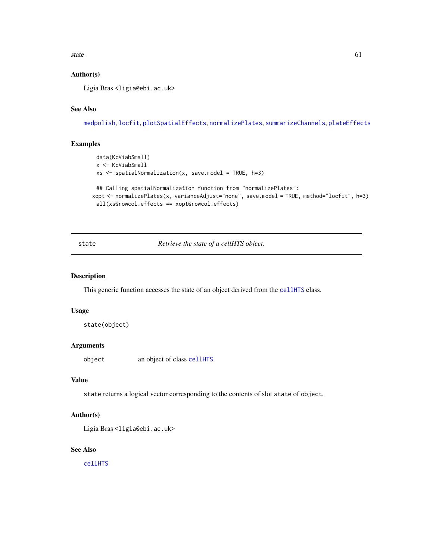state 61

# Author(s)

Ligia Bras<ligia@ebi.ac.uk>

# See Also

[medpolish](#page-0-0), [locfit](#page-0-0), [plotSpatialEffects](#page-41-0), [normalizePlates](#page-34-0), [summarizeChannels](#page-61-0), [plateEffects](#page-40-0)

# Examples

```
data(KcViabSmall)
 x <- KcViabSmall
 xs <- spatialNormalization(x, save.model = TRUE, h=3)
 ## Calling spatialNormalization function from "normalizePlates":
xopt <- normalizePlates(x, varianceAdjust="none", save.model = TRUE, method="locfit", h=3)
 all(xs@rowcol.effects == xopt@rowcol.effects)
```
state *Retrieve the state of a cellHTS object.*

# Description

This generic function accesses the state of an object derived from the [cellHTS](#page-8-0) class.

# Usage

```
state(object)
```
# Arguments

object an object of class [cellHTS](#page-8-0).

## Value

state returns a logical vector corresponding to the contents of slot state of object.

#### Author(s)

```
Ligia Bras <ligia@ebi.ac.uk>
```
#### See Also

[cellHTS](#page-8-0)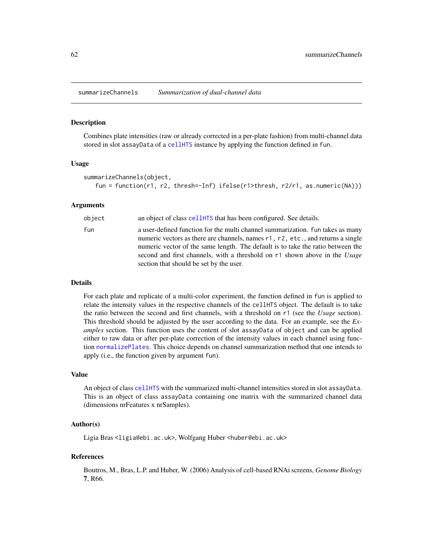<span id="page-61-0"></span>summarizeChannels *Summarization of dual-channel data*

## Description

Combines plate intensities (raw or already corrected in a per-plate fashion) from multi-channel data stored in slot assayData of a [cellHTS](#page-8-0) instance by applying the function defined in fun.

## Usage

```
summarizeChannels(object,
   fun = function(r1, r2, thresh=-Inf) ifelse(r1>thresh, r2/r1, as.numeric(NA)))
```
# Arguments

| object | an object of class cellently that has been configured. See details.                                                                                                                                                                                                                                                                                                           |
|--------|-------------------------------------------------------------------------------------------------------------------------------------------------------------------------------------------------------------------------------------------------------------------------------------------------------------------------------------------------------------------------------|
| fun    | a user-defined function for the multi channel summarization. Fun takes as many<br>numeric vectors as there are channels, names r1, r2, etc., and returns a single<br>numeric vector of the same length. The default is to take the ratio between the<br>second and first channels, with a threshold on r1 shown above in the Usage<br>section that should be set by the user. |

#### Details

For each plate and replicate of a multi-color experiment, the function defined in fun is applied to relate the intensity values in the respective channels of the cellHTS object. The default is to take the ratio between the second and first channels, with a threshold on r1 (see the *Usage* section). This threshold should be adjusted by the user according to the data. For an example, see the *Examples* section. This function uses the content of slot assayData of object and can be applied either to raw data or after per-plate correction of the intensity values in each channel using function [normalizePlates](#page-34-0). This choice depends on channel summarization method that one intends to apply (i.e., the function given by argument fun).

#### Value

An object of class [cellHTS](#page-8-0) with the summarized multi-channel intensities stored in slot assayData. This is an object of class assayData containing one matrix with the summarized channel data (dimensions nrFeatures x nrSamples).

# Author(s)

Ligia Bras <ligia@ebi.ac.uk>, Wolfgang Huber <huber@ebi.ac.uk>

#### References

Boutros, M., Bras, L.P. and Huber, W. (2006) Analysis of cell-based RNAi screens, *Genome Biology* 7, R66.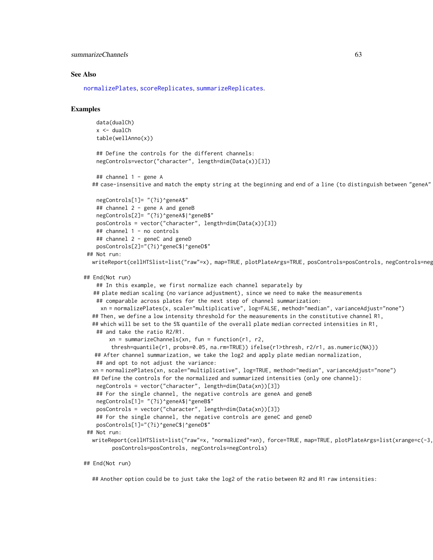summarizeChannels 63

#### See Also

[normalizePlates](#page-34-0), [scoreReplicates](#page-51-0), [summarizeReplicates](#page-63-0).

## Examples

```
data(dualCh)
x <- dualCh
table(wellAnno(x))
## Define the controls for the different channels:
negControls=vector("character", length=dim(Data(x))[3])
```

```
## channel 1 - gene A
## case-insensitive and match the empty string at the beginning and end of a line (to distinguish between "geneA"
```

```
negControls[1]= "(?i)^geneA$"
   ## channel 2 - gene A and geneB
  negControls[2]= "(?i)^geneA$|^geneB$"
   posControls = vector("character", length=dim(Data(x))[3])
   ## channel 1 - no controls
   ## channel 2 - geneC and geneD
   posControls[2]="(?i)^geneC$|^geneD$"
## Not run:
```

```
writeReport(cellHTSlist=list("raw"=x), map=TRUE, plotPlateArgs=TRUE, posControls=posControls, negControls=neg
```

```
## End(Not run)
```

```
## In this example, we first normalize each channel separately by
  ## plate median scaling (no variance adjustment), since we need to make the measurements
   ## comparable across plates for the next step of channel summarization:
    xn = normalizePlates(x, scale="multiplicative", log=FALSE, method="median", varianceAdjust="none")
 ## Then, we define a low intensity threshold for the measurements in the constitutive channel R1,
 ## which will be set to the 5% quantile of the overall plate median corrected intensities in R1,
   ## and take the ratio R2/R1.
       xn = summarizeChannels(xn, fun = function(r1, r2, ...))thresh=quantile(r1, probs=0.05, na.rm=TRUE)) ifelse(r1>thresh, r2/r1, as.numeric(NA)))
  ## After channel summarization, we take the log2 and apply plate median normalization,
  ## and opt to not adjust the variance:
 xn = normalizePlates(xn, scale="multiplicative", log=TRUE, method="median", varianceAdjust="none")
 ## Define the controls for the normalized and summarized intensities (only one channel):
  negControls = vector("character", length=dim(Data(xn))[3])
   ## For the single channel, the negative controls are geneA and geneB
  negControls[1]= "(?i)^geneA$|^geneB$"
  posControls = vector("character", length=dim(Data(xn))[3])
   ## For the single channel, the negative controls are geneC and geneD
   posControls[1]="(?i)^geneC$|^geneD$"
## Not run:
 writeReport(cellHTSlist=list("raw"=x, "normalized"=xn), force=TRUE, map=TRUE, plotPlateArgs=list(xrange=c(-3,
        posControls=posControls, negControls=negControls)
```
#### ## End(Not run)

## Another option could be to just take the log2 of the ratio between R2 and R1 raw intensities: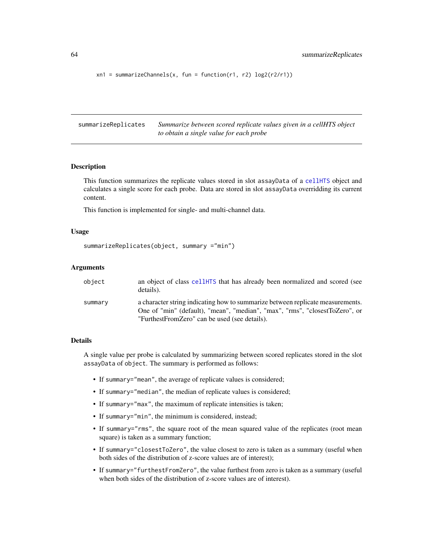```
xn1 = summarizeChannels(x, fun = function(r1, r2) log2(r2/r1))
```
<span id="page-63-0"></span>summarizeReplicates *Summarize between scored replicate values given in a cellHTS object to obtain a single value for each probe*

#### Description

This function summarizes the replicate values stored in slot assayData of a [cellHTS](#page-8-0) object and calculates a single score for each probe. Data are stored in slot assayData overridding its current content.

This function is implemented for single- and multi-channel data.

## Usage

```
summarizeReplicates(object, summary ="min")
```
## **Arguments**

| object  | an object of class cellently that has already been normalized and scored (see<br>details).                                                                                                                     |
|---------|----------------------------------------------------------------------------------------------------------------------------------------------------------------------------------------------------------------|
| summary | a character string indicating how to summarize between replicate measurements.<br>One of "min" (default), "mean", "median", "max", "rms", "closestToZero", or<br>"FurthestFromZero" can be used (see details). |

#### Details

A single value per probe is calculated by summarizing between scored replicates stored in the slot assayData of object. The summary is performed as follows:

- If summary="mean", the average of replicate values is considered;
- If summary="median", the median of replicate values is considered;
- If summary="max", the maximum of replicate intensities is taken;
- If summary="min", the minimum is considered, instead;
- If summary="rms", the square root of the mean squared value of the replicates (root mean square) is taken as a summary function;
- If summary="closestToZero", the value closest to zero is taken as a summary (useful when both sides of the distribution of z-score values are of interest);
- If summary="furthestFromZero", the value furthest from zero is taken as a summary (useful when both sides of the distribution of z-score values are of interest).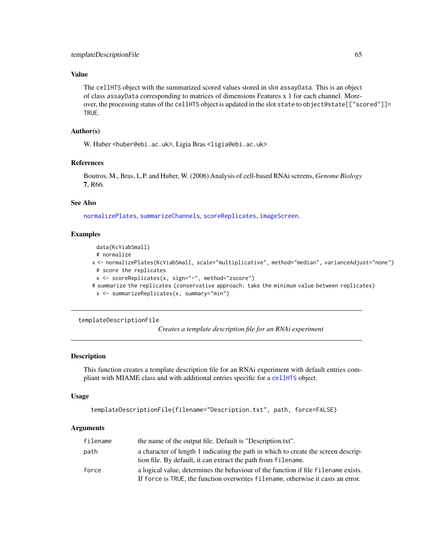# Value

The cellHTS object with the summarized scored values stored in slot assayData. This is an object of class assayData corresponding to matrices of dimensions Features x 1 for each channel. Moreover, the processing status of the cellHTS object is updated in the slot state to object@state[["scored"]]= TRUE.

# Author(s)

W. Huber <huber@ebi.ac.uk>, Ligia Bras <ligia@ebi.ac.uk>

# References

Boutros, M., Bras, L.P. and Huber, W. (2006) Analysis of cell-based RNAi screens, *Genome Biology* 7, R66.

# See Also

[normalizePlates](#page-34-0), [summarizeChannels](#page-61-0), [scoreReplicates](#page-51-0), [imageScreen](#page-31-0).

## Examples

```
data(KcViabSmall)
 # normalize
x <- normalizePlates(KcViabSmall, scale="multiplicative", method="median", varianceAdjust="none")
 # score the replicates
 x <- scoreReplicates(x, sign="-", method="zscore")
# summarize the replicates (conservative approach: take the minimum value between replicates)
 x <- summarizeReplicates(x, summary="min")
```
templateDescriptionFile

*Creates a template description file for an RNAi experiment*

#### Description

This function creates a template description file for an RNAi experiment with default entries compliant with MIAME class and with additional entries specific for a [cellHTS](#page-8-0) object.

#### Usage

```
templateDescriptionFile(filename="Description.txt", path, force=FALSE)
```
#### **Arguments**

| filename | the name of the output file. Default is "Description.txt".                                                                                                             |
|----------|------------------------------------------------------------------------------------------------------------------------------------------------------------------------|
| path     | a character of length 1 indicating the path in which to create the screen descrip-<br>tion file. By default, it can extract the path from filename.                    |
| force    | a logical value, determines the behaviour of the function if file filename exists.<br>If force is TRUE, the function overwrites filename, otherwise it casts an error. |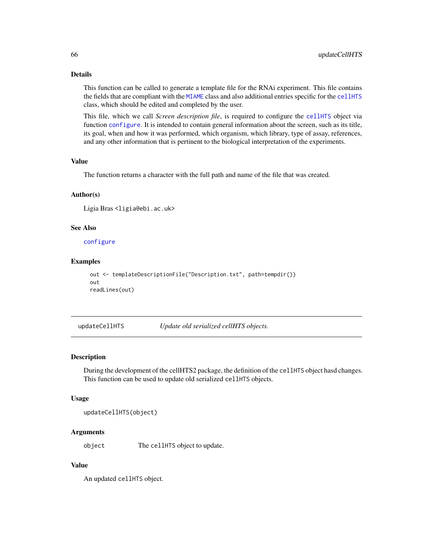# Details

This function can be called to generate a template file for the RNAi experiment. This file contains the fields that are compliant with the [MIAME](#page-0-0) class and also additional entries specific for the [cellHTS](#page-8-0) class, which should be edited and completed by the user.

This file, which we call *Screen description file*, is required to configure the [cellHTS](#page-8-0) object via function [configure](#page-16-0). It is intended to contain general information about the screen, such as its title, its goal, when and how it was performed, which organism, which library, type of assay, references, and any other information that is pertinent to the biological interpretation of the experiments.

#### Value

The function returns a character with the full path and name of the file that was created.

## Author(s)

Ligia Bras <ligia@ebi.ac.uk>

# See Also

[configure](#page-16-0)

# Examples

```
out <- templateDescriptionFile("Description.txt", path=tempdir())
out
readLines(out)
```
updateCellHTS *Update old serialized cellHTS objects.*

## Description

During the development of the cellHTS2 package, the definition of the cellHTS object hasd changes. This function can be used to update old serialized cellHTS objects.

#### Usage

```
updateCellHTS(object)
```
# Arguments

object The cellHTS object to update.

# Value

An updated cellHTS object.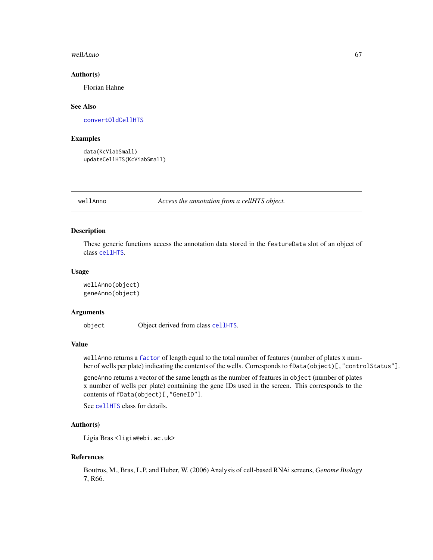#### wellAnno 67

#### Author(s)

Florian Hahne

## See Also

[convertOldCellHTS](#page-18-0)

## Examples

```
data(KcViabSmall)
updateCellHTS(KcViabSmall)
```
wellAnno *Access the annotation from a cellHTS object.*

# Description

These generic functions access the annotation data stored in the featureData slot of an object of class [cellHTS](#page-8-0).

## Usage

```
wellAnno(object)
geneAnno(object)
```
# Arguments

object Object derived from class [cellHTS](#page-8-0).

# Value

wellAnno returns a [factor](#page-0-0) of length equal to the total number of features (number of plates x number of wells per plate) indicating the contents of the wells. Corresponds to fData(object)[,"controlStatus"].

geneAnno returns a vector of the same length as the number of features in object (number of plates x number of wells per plate) containing the gene IDs used in the screen. This corresponds to the contents of fData(object)[,"GeneID"].

See [cellHTS](#page-8-0) class for details.

# Author(s)

Ligia Bras <ligia@ebi.ac.uk>

#### References

Boutros, M., Bras, L.P. and Huber, W. (2006) Analysis of cell-based RNAi screens, *Genome Biology* 7, R66.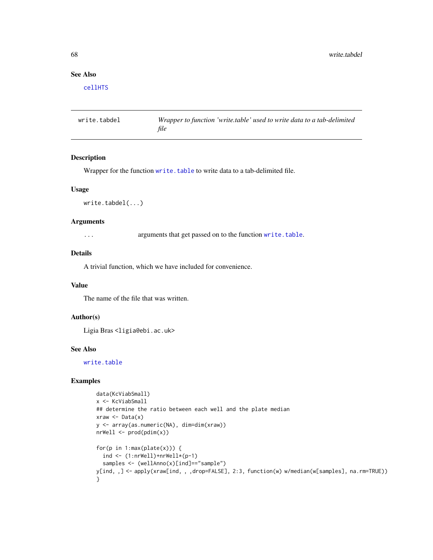# See Also

[cellHTS](#page-8-0)

write.tabdel *Wrapper to function 'write.table' used to write data to a tab-delimited file*

# Description

Wrapper for the function [write.table](#page-0-0) to write data to a tab-delimited file.

#### Usage

```
write.tabdel(...)
```
## Arguments

... arguments that get passed on to the function [write.table](#page-0-0).

## Details

A trivial function, which we have included for convenience.

#### Value

The name of the file that was written.

#### Author(s)

Ligia Bras <ligia@ebi.ac.uk>

# See Also

[write.table](#page-0-0)

# Examples

```
data(KcViabSmall)
x <- KcViabSmall
## determine the ratio between each well and the plate median
xraw \leftarrow Data(x)y <- array(as.numeric(NA), dim=dim(xraw))
nrWell < - \text{prod}(pdim(x))for(p in 1:max(plate(x))) {
  ind \leftarrow (1:nrWell)+nrWell*(p-1)samples <- (wellAnno(x)[ind] == "sample")
y[ind, ,] <- apply(xraw[ind, , ,drop=FALSE], 2:3, function(w) w/median(w[samples], na.rm=TRUE))
}
```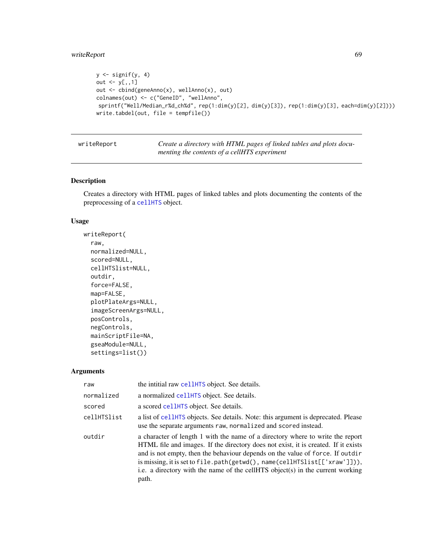# writeReport 69

```
y \leftarrow signif(y, 4)
out \leq -y[,,1]
out <- cbind(geneAnno(x), wellAnno(x), out)
colnames(out) <- c("GeneID", "wellAnno",
sprintf("Well/Median_r%d_ch%d", rep(1:dim(y)[2], dim(y)[3]), rep(1:dim(y)[3], each=dim(y)[2])))
write.tabdel(out, file = tempfile())
```
<span id="page-68-0"></span>writeReport *Create a directory with HTML pages of linked tables and plots documenting the contents of a cellHTS experiment*

# Description

Creates a directory with HTML pages of linked tables and plots documenting the contents of the preprocessing of a [cellHTS](#page-8-0) object.

# Usage

```
writeReport(
  raw,
  normalized=NULL,
  scored=NULL,
  cellHTSlist=NULL,
  outdir,
  force=FALSE,
  map=FALSE,
  plotPlateArgs=NULL,
  imageScreenArgs=NULL,
  posControls,
  negControls,
  mainScriptFile=NA,
  gseaModule=NULL,
  settings=list())
```
#### Arguments

| raw         | the intitial raw cellently object. See details.                                                                                                                                                                                                                                                                                                                                                                               |
|-------------|-------------------------------------------------------------------------------------------------------------------------------------------------------------------------------------------------------------------------------------------------------------------------------------------------------------------------------------------------------------------------------------------------------------------------------|
| normalized  | a normalized cellHTS object. See details.                                                                                                                                                                                                                                                                                                                                                                                     |
| scored      | a scored cellHTS object. See details.                                                                                                                                                                                                                                                                                                                                                                                         |
| cellHTSlist | a list of cellently objects. See details. Note: this argument is deprecated. Please<br>use the separate arguments raw, normalized and scored instead.                                                                                                                                                                                                                                                                         |
| outdir      | a character of length 1 with the name of a directory where to write the report<br>HTML file and images. If the directory does not exist, it is created. If it exists<br>and is not empty, then the behaviour depends on the value of force. If outdir<br>is missing, it is set to file.path(getwd(), name(cellHTSlist[['xraw']])),<br>i.e. a directory with the name of the cellHTS object(s) in the current working<br>path. |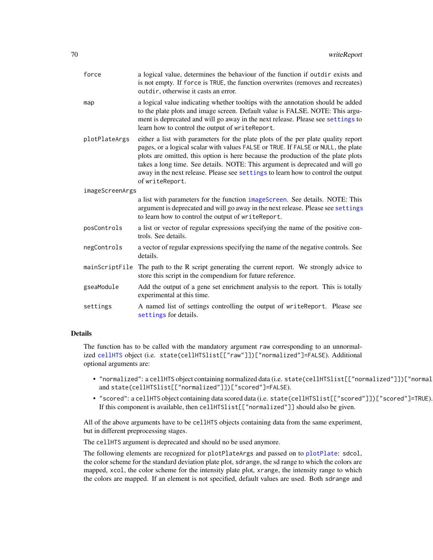| force           | a logical value, determines the behaviour of the function if outdir exists and<br>is not empty. If force is TRUE, the function overwrites (removes and recreates)<br>outdir, otherwise it casts an error.                                                                                                                                                                                                                                          |  |
|-----------------|----------------------------------------------------------------------------------------------------------------------------------------------------------------------------------------------------------------------------------------------------------------------------------------------------------------------------------------------------------------------------------------------------------------------------------------------------|--|
| map             | a logical value indicating whether tooltips with the annotation should be added<br>to the plate plots and image screen. Default value is FALSE. NOTE: This argu-<br>ment is deprecated and will go away in the next release. Please see settings to<br>learn how to control the output of writeReport.                                                                                                                                             |  |
| plotPlateArgs   | either a list with parameters for the plate plots of the per plate quality report<br>pages, or a logical scalar with values FALSE or TRUE. If FALSE or NULL, the plate<br>plots are omitted, this option is here because the production of the plate plots<br>takes a long time. See details. NOTE: This argument is deprecated and will go<br>away in the next release. Please see settings to learn how to control the output<br>of writeReport. |  |
| imageScreenArgs |                                                                                                                                                                                                                                                                                                                                                                                                                                                    |  |
|                 | a list with parameters for the function imageScreen. See details. NOTE: This<br>argument is deprecated and will go away in the next release. Please see settings<br>to learn how to control the output of writeReport.                                                                                                                                                                                                                             |  |
| posControls     | a list or vector of regular expressions specifying the name of the positive con-<br>trols. See details.                                                                                                                                                                                                                                                                                                                                            |  |
| negControls     | a vector of regular expressions specifying the name of the negative controls. See<br>details.                                                                                                                                                                                                                                                                                                                                                      |  |
| mainScriptFile  | The path to the R script generating the current report. We strongly advice to<br>store this script in the compendium for future reference.                                                                                                                                                                                                                                                                                                         |  |
| gseaModule      | Add the output of a gene set enrichment analysis to the report. This is totally<br>experimental at this time.                                                                                                                                                                                                                                                                                                                                      |  |
| settings        | A named list of settings controlling the output of writeReport. Please see<br>settings for details.                                                                                                                                                                                                                                                                                                                                                |  |

# Details

The function has to be called with the mandatory argument raw corresponding to an unnormalized [cellHTS](#page-8-0) object (i.e. state(cellHTSlist[["raw"]])["normalized"]=FALSE). Additional optional arguments are:

- "normalized": a cellHTS object containing normalized data (i.e. state(cellHTSlist[["normalized"]])["normal and state(cellHTSlist[["normalized"]])["scored"]=FALSE).
- "scored": a cellHTS object containing data scored data (i.e. state(cellHTSlist[["scored"]])["scored"]=TRUE). If this component is available, then cellHTSlist[["normalized"]] should also be given.

All of the above arguments have to be cellHTS objects containing data from the same experiment, but in different preprocessing stages.

The cellHTS argument is deprecated and should no be used anymore.

The following elements are recognized for plotPlateArgs and passed on to [plotPlate](#page-0-0): sdcol, the color scheme for the standard deviation plate plot, sdrange, the sd range to which the colors are mapped, xcol, the color scheme for the intensity plate plot, xrange, the intensity range to which the colors are mapped. If an element is not specified, default values are used. Both sdrange and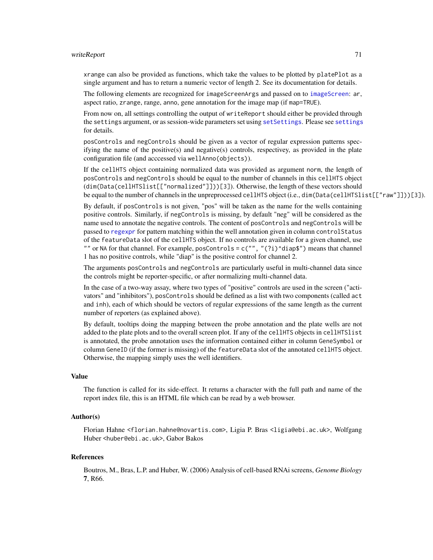#### writeReport 71

xrange can also be provided as functions, which take the values to be plotted by platePlot as a single argument and has to return a numeric vector of length 2. See its documentation for details.

The following elements are recognized for imageScreenArgs and passed on to [imageScreen](#page-31-0): ar, aspect ratio, zrange, range, anno, gene annotation for the image map (if map=TRUE).

From now on, all settings controlling the output of writeReport should either be provided through the settings argument, or as session-wide parameters set using [setSettings](#page-54-1). Please see [settings](#page-54-0) for details.

posControls and negControls should be given as a vector of regular expression patterns specifying the name of the positive(s) and negative(s) controls, respectivey, as provided in the plate configuration file (and acccessed via wellAnno(objects)).

If the cellHTS object containing normalized data was provided as argument norm, the length of posControls and negControls should be equal to the number of channels in this cellHTS object (dim(Data(cellHTSlist[["normalized"]]))[3]). Otherwise, the length of these vectors should be equal to the number of channels in the unpreprocessed cellHTS object (i.e., dim(Data(cellHTSlist[["raw"]]))[3]).

By default, if posControls is not given, "pos" will be taken as the name for the wells containing positive controls. Similarly, if negControls is missing, by default "neg" will be considered as the name used to annotate the negative controls. The content of posControls and negControls will be passed to [regexpr](#page-0-0) for pattern matching within the well annotation given in column controlStatus of the featureData slot of the cellHTS object. If no controls are available for a given channel, use "" or NA for that channel. For example, posControls =  $c("", "(?i)^{\land diap$")$  means that channel 1 has no positive controls, while "diap" is the positive control for channel 2.

The arguments posControls and negControls are particularly useful in multi-channel data since the controls might be reporter-specific, or after normalizing multi-channel data.

In the case of a two-way assay, where two types of "positive" controls are used in the screen ("activators" and "inhibitors"), posControls should be defined as a list with two components (called act and inh), each of which should be vectors of regular expressions of the same length as the current number of reporters (as explained above).

By default, tooltips doing the mapping between the probe annotation and the plate wells are not added to the plate plots and to the overall screen plot. If any of the cellHTS objects in cellHTSlist is annotated, the probe annotation uses the information contained either in column GeneSymbol or column GeneID (if the former is missing) of the featureData slot of the annotated cellHTS object. Otherwise, the mapping simply uses the well identifiers.

#### Value

The function is called for its side-effect. It returns a character with the full path and name of the report index file, this is an HTML file which can be read by a web browser.

## Author(s)

Florian Hahne <florian.hahne@novartis.com>, Ligia P. Bras <ligia@ebi.ac.uk>, Wolfgang Huber <huber@ebi.ac.uk>, Gabor Bakos

#### References

Boutros, M., Bras, L.P. and Huber, W. (2006) Analysis of cell-based RNAi screens, *Genome Biology* 7, R66.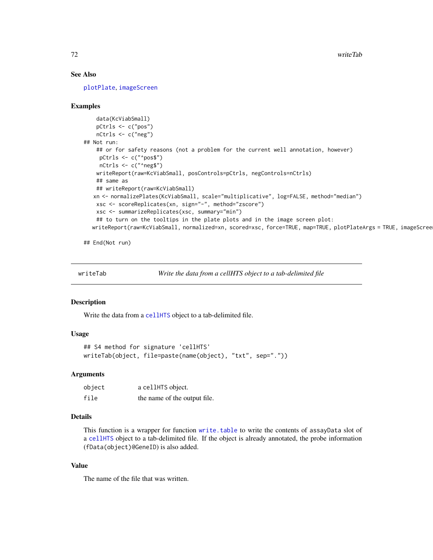# See Also

[plotPlate](#page-0-0), [imageScreen](#page-31-0)

## Examples

```
data(KcViabSmall)
   pCtrls <- c("pos")
   nCtrls <- c("neg")
## Not run:
   ## or for safety reasons (not a problem for the current well annotation, however)
    pCtrls <- c("^pos$")
    nCtrls <- c("^neg$")
   writeReport(raw=KcViabSmall, posControls=pCtrls, negControls=nCtrls)
   ## same as
   ## writeReport(raw=KcViabSmall)
  xn <- normalizePlates(KcViabSmall, scale="multiplicative", log=FALSE, method="median")
   xsc <- scoreReplicates(xn, sign="-", method="zscore")
   xsc <- summarizeReplicates(xsc, summary="min")
    ## to turn on the tooltips in the plate plots and in the image screen plot:
  writeReport(raw=KcViabSmall, normalized=xn, scored=xsc, force=TRUE, map=TRUE, plotPlateArgs = TRUE, imageScree
```
## End(Not run)

writeTab *Write the data from a cellHTS object to a tab-delimited file*

# Description

Write the data from a [cellHTS](#page-8-0) object to a tab-delimited file.

# Usage

```
## S4 method for signature 'cellHTS'
writeTab(object, file=paste(name(object), "txt", sep="."))
```
## Arguments

| object | a cellHTS object.            |
|--------|------------------------------|
| file   | the name of the output file. |

# Details

This function is a wrapper for function [write.table](#page-0-0) to write the contents of assayData slot of a [cellHTS](#page-8-0) object to a tab-delimited file. If the object is already annotated, the probe information (fData(object)@GeneID) is also added.

## Value

The name of the file that was written.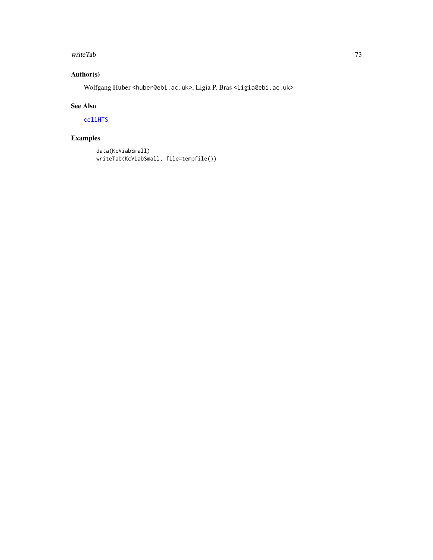### <span id="page-72-0"></span>writeTab 73

## Author(s)

Wolfgang Huber <huber@ebi.ac.uk>, Ligia P. Bras <ligia@ebi.ac.uk>

### See Also

[cellHTS](#page-8-0)

# Examples

```
data(KcViabSmall)
writeTab(KcViabSmall, file=tempfile())
```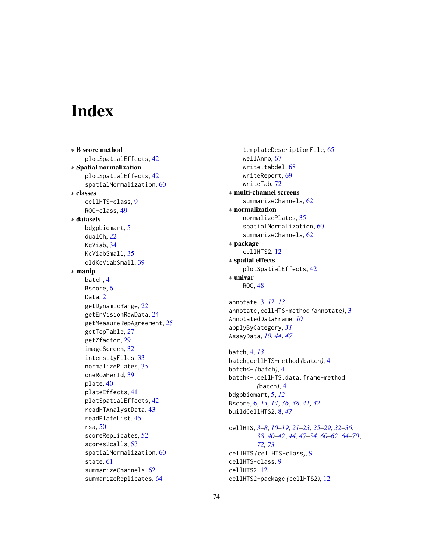# **Index**

∗ B score method plotSpatialEffects, [42](#page-41-0) ∗ Spatial normalization plotSpatialEffects, [42](#page-41-0) spatialNormalization, [60](#page-59-0) ∗ classes cellHTS-class, [9](#page-8-1) ROC-class, [49](#page-48-0) ∗ datasets bdgpbiomart, [5](#page-4-0) dualCh, [22](#page-21-0) KcViab, [34](#page-33-0) KcViabSmall, [35](#page-34-0) oldKcViabSmall, [39](#page-38-0) ∗ manip batch, [4](#page-3-0) Bscore, [6](#page-5-0) Data, [21](#page-20-0) getDynamicRange, [22](#page-21-0) getEnVisionRawData, [24](#page-23-0) getMeasureRepAgreement, [25](#page-24-0) getTopTable, [27](#page-26-0) getZfactor, [29](#page-28-0) imageScreen, [32](#page-31-0) intensityFiles, [33](#page-32-0) normalizePlates, [35](#page-34-0) oneRowPerId, [39](#page-38-0) plate, [40](#page-39-0) plateEffects, [41](#page-40-0) plotSpatialEffects, [42](#page-41-0) readHTAnalystData, [43](#page-42-0) readPlateList, [45](#page-44-0) rsa, [50](#page-49-0) scoreReplicates, [52](#page-51-0) scores2calls, [53](#page-52-0) spatialNormalization, [60](#page-59-0) state, [61](#page-60-0) summarizeChannels, [62](#page-61-0) summarizeReplicates, [64](#page-63-0)

templateDescriptionFile, [65](#page-64-0) wellAnno, [67](#page-66-0) write.tabdel, [68](#page-67-0) writeReport, [69](#page-68-0) writeTab, [72](#page-71-0) ∗ multi-channel screens summarizeChannels, [62](#page-61-0) ∗ normalization normalizePlates, [35](#page-34-0) spatialNormalization, [60](#page-59-0) summarizeChannels, [62](#page-61-0) ∗ package cellHTS2, [12](#page-11-0) ∗ spatial effects plotSpatialEffects, [42](#page-41-0) ∗ univar ROC, [48](#page-47-0)

annotate, [3,](#page-2-0) *[12,](#page-11-0) [13](#page-12-0)* annotate,cellHTS-method *(*annotate*)*, [3](#page-2-0) AnnotatedDataFrame, *[10](#page-9-0)* applyByCategory, *[31](#page-30-0)* AssayData, *[10](#page-9-0)*, *[44](#page-43-0)*, *[47](#page-46-0)*

batch, [4,](#page-3-0) *[13](#page-12-0)* batch,cellHTS-method *(*batch*)*, [4](#page-3-0) batch<- *(*batch*)*, [4](#page-3-0) batch<-,cellHTS,data.frame-method *(*batch*)*, [4](#page-3-0) bdgpbiomart, [5,](#page-4-0) *[12](#page-11-0)* Bscore, [6,](#page-5-0) *[13,](#page-12-0) [14](#page-13-0)*, *[36](#page-35-0)*, *[38](#page-37-0)*, *[41,](#page-40-0) [42](#page-41-0)* buildCellHTS2, [8,](#page-7-0) *[47](#page-46-0)*

cellHTS, *[3](#page-2-0)[–8](#page-7-0)*, *[10](#page-9-0)[–19](#page-18-0)*, *[21](#page-20-0)[–23](#page-22-0)*, *[25](#page-24-0)[–29](#page-28-0)*, *[32](#page-31-0)[–36](#page-35-0)*, *[38](#page-37-0)*, *[40](#page-39-0)[–42](#page-41-0)*, *[44](#page-43-0)*, *[47](#page-46-0)[–54](#page-53-0)*, *[60](#page-59-0)[–62](#page-61-0)*, *[64](#page-63-0)[–70](#page-69-0)*, *[72,](#page-71-0) [73](#page-72-0)* cellHTS *(*cellHTS-class*)*, [9](#page-8-1) cellHTS-class, [9](#page-8-1) cellHTS2, [12](#page-11-0) cellHTS2-package *(*cellHTS2*)*, [12](#page-11-0)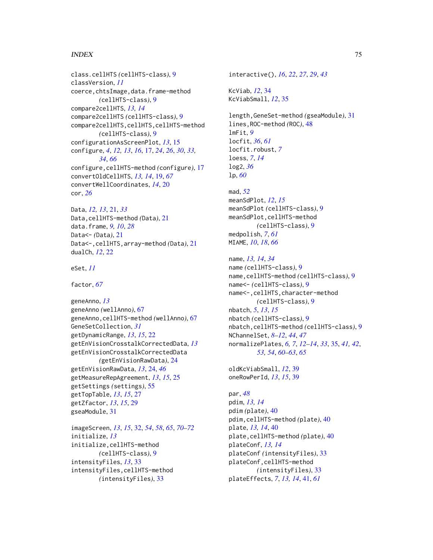### INDEX 75

class.cellHTS *(*cellHTS-class*)*, [9](#page-8-1) classVersion, *[11](#page-10-0)* coerce,chtsImage,data.frame-method *(*cellHTS-class*)*, [9](#page-8-1) compare2cellHTS, *[13,](#page-12-0) [14](#page-13-0)* compare2cellHTS *(*cellHTS-class*)*, [9](#page-8-1) compare2cellHTS,cellHTS,cellHTS-method *(*cellHTS-class*)*, [9](#page-8-1) configurationAsScreenPlot, *[13](#page-12-0)*, [15](#page-14-0) configure, *[4](#page-3-0)*, *[12,](#page-11-0) [13](#page-12-0)*, *[16](#page-15-0)*, [17,](#page-16-0) *[24](#page-23-0)*, *[26](#page-25-0)*, *[30](#page-29-0)*, *[33,](#page-32-0) [34](#page-33-0)*, *[66](#page-65-0)* configure,cellHTS-method *(*configure*)*, [17](#page-16-0) convertOldCellHTS, *[13,](#page-12-0) [14](#page-13-0)*, [19,](#page-18-0) *[67](#page-66-0)* convertWellCoordinates, *[14](#page-13-0)*, [20](#page-19-0) cor, *[26](#page-25-0)*

Data, *[12,](#page-11-0) [13](#page-12-0)*, [21,](#page-20-0) *[33](#page-32-0)* Data,cellHTS-method *(*Data*)*, [21](#page-20-0) data.frame, *[9,](#page-8-1) [10](#page-9-0)*, *[28](#page-27-0)* Data<- *(*Data*)*, [21](#page-20-0) Data<-,cellHTS,array-method *(*Data*)*, [21](#page-20-0) dualCh, *[12](#page-11-0)*, [22](#page-21-0)

eSet, *[11](#page-10-0)*

factor, *[67](#page-66-0)*

geneAnno, *[13](#page-12-0)* geneAnno *(*wellAnno*)*, [67](#page-66-0) geneAnno,cellHTS-method *(*wellAnno*)*, [67](#page-66-0) GeneSetCollection, *[31](#page-30-0)* getDynamicRange, *[13](#page-12-0)*, *[15](#page-14-0)*, [22](#page-21-0) getEnVisionCrosstalkCorrectedData, *[13](#page-12-0)* getEnVisionCrosstalkCorrectedData *(*getEnVisionRawData*)*, [24](#page-23-0) getEnVisionRawData, *[13](#page-12-0)*, [24,](#page-23-0) *[46](#page-45-0)* getMeasureRepAgreement, *[13](#page-12-0)*, *[15](#page-14-0)*, [25](#page-24-0) getSettings *(*settings*)*, [55](#page-54-0) getTopTable, *[13](#page-12-0)*, *[15](#page-14-0)*, [27](#page-26-0) getZfactor, *[13](#page-12-0)*, *[15](#page-14-0)*, [29](#page-28-0) gseaModule, [31](#page-30-0)

imageScreen, *[13](#page-12-0)*, *[15](#page-14-0)*, [32,](#page-31-0) *[54](#page-53-0)*, *[58](#page-57-0)*, *[65](#page-64-0)*, *[70–](#page-69-0)[72](#page-71-0)* initialize, *[13](#page-12-0)* initialize,cellHTS-method *(*cellHTS-class*)*, [9](#page-8-1) intensityFiles, *[13](#page-12-0)*, [33](#page-32-0) intensityFiles,cellHTS-method *(*intensityFiles*)*, [33](#page-32-0)

interactive(), *[16](#page-15-0)*, *[22](#page-21-0)*, *[27](#page-26-0)*, *[29](#page-28-0)*, *[43](#page-42-0)* KcViab, *[12](#page-11-0)*, [34](#page-33-0) KcViabSmall, *[12](#page-11-0)*, [35](#page-34-0) length,GeneSet-method *(*gseaModule*)*, [31](#page-30-0) lines,ROC-method *(*ROC*)*, [48](#page-47-0) lmFit, *[9](#page-8-1)* locfit, *[36](#page-35-0)*, *[61](#page-60-0)* locfit.robust, *[7](#page-6-0)* loess, *[7](#page-6-0)*, *[14](#page-13-0)* log2, *[36](#page-35-0)* lp, *[60](#page-59-0)* mad, *[52](#page-51-0)* meanSdPlot, *[12](#page-11-0)*, *[15](#page-14-0)* meanSdPlot *(*cellHTS-class*)*, [9](#page-8-1) meanSdPlot,cellHTS-method *(*cellHTS-class*)*, [9](#page-8-1) medpolish, *[7](#page-6-0)*, *[61](#page-60-0)* MIAME, *[10](#page-9-0)*, *[18](#page-17-0)*, *[66](#page-65-0)* name, *[13,](#page-12-0) [14](#page-13-0)*, *[34](#page-33-0)* name *(*cellHTS-class*)*, [9](#page-8-1) name,cellHTS-method *(*cellHTS-class*)*, [9](#page-8-1) name<- *(*cellHTS-class*)*, [9](#page-8-1) name<-,cellHTS,character-method *(*cellHTS-class*)*, [9](#page-8-1)

nbatch, *[5](#page-4-0)*, *[13](#page-12-0)*, *[15](#page-14-0)* nbatch *(*cellHTS-class*)*, [9](#page-8-1) nbatch,cellHTS-method *(*cellHTS-class*)*, [9](#page-8-1) NChannelSet, *[8](#page-7-0)[–12](#page-11-0)*, *[44](#page-43-0)*, *[47](#page-46-0)* normalizePlates, *[6,](#page-5-0) [7](#page-6-0)*, *[12](#page-11-0)[–14](#page-13-0)*, *[33](#page-32-0)*, [35,](#page-34-0) *[41,](#page-40-0) [42](#page-41-0)*, *[53,](#page-52-0) [54](#page-53-0)*, *[60](#page-59-0)[–63](#page-62-0)*, *[65](#page-64-0)*

oldKcViabSmall, *[12](#page-11-0)*, [39](#page-38-0) oneRowPerId, *[13](#page-12-0)*, *[15](#page-14-0)*, [39](#page-38-0)

par, *[48](#page-47-0)* pdim, *[13,](#page-12-0) [14](#page-13-0)* pdim *(*plate*)*, [40](#page-39-0) pdim,cellHTS-method *(*plate*)*, [40](#page-39-0) plate, *[13,](#page-12-0) [14](#page-13-0)*, [40](#page-39-0) plate,cellHTS-method *(*plate*)*, [40](#page-39-0) plateConf, *[13,](#page-12-0) [14](#page-13-0)* plateConf *(*intensityFiles*)*, [33](#page-32-0) plateConf,cellHTS-method *(*intensityFiles*)*, [33](#page-32-0) plateEffects, *[7](#page-6-0)*, *[13,](#page-12-0) [14](#page-13-0)*, [41,](#page-40-0) *[61](#page-60-0)*